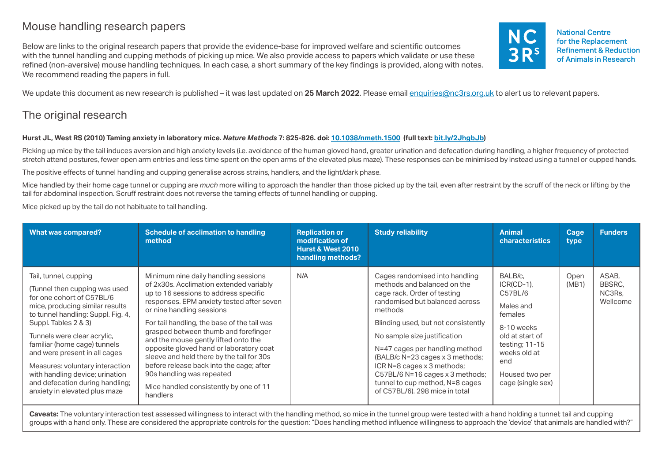# Mouse handling research papers

Below are links to the original research papers that provide the evidence-base for improved welfare and scientific outcomes with the tunnel handling and cupping methods of picking up mice. We also provide access to papers which validate or use these refined (non-aversive) mouse handling techniques. In each case, a short summary of the key findings is provided, along with notes. We recommend reading the papers in full.



We update this document as new research is published – it was last updated on 25 March 2022. Please email [enquiries@nc3rs.org.uk](mailto:enquiries%40nc3rs.org.uk?subject=Mouse%20handling%20research%20paper) to alert us to relevant papers.

# The original research

# **Hurst JL, West RS (2010) Taming anxiety in laboratory mice.** *Nature Methods* **7: 825-826. [doi: 10.1038/nmeth.1500](https://doi.org/10.1038/nmeth.1500) (full text: [bit.ly/2JhgbJb](https://bit.ly/2JhgbJb))**

Picking up mice by the tail induces aversion and high anxiety levels (i.e. avoidance of the human gloved hand, greater urination and defecation during handling, a higher frequency of protected stretch attend postures, fewer open arm entries and less time spent on the open arms of the elevated plus maze). These responses can be minimised by instead using a tunnel or cupped hands.

The positive effects of tunnel handling and cupping generalise across strains, handlers, and the light/dark phase.

Mice handled by their home cage tunnel or cupping are *much* more willing to approach the handler than those picked up by the tail, even after restraint by the scruff of the neck or lifting by the tail for abdominal inspection. Scruff restraint does not reverse the taming effects of tunnel handling or cupping.

Mice picked up by the tail do not habituate to tail handling.

| <b>What was compared?</b>                                                                                                                                                                                                                                                                                                                                                                                                      | Schedule of acclimation to handling<br>method                                                                                                                                                                                                                                                                                                                                                                                                                                                                                                            | <b>Replication or</b><br>modification of<br><b>Hurst &amp; West 2010</b><br>handling methods? | <b>Study reliability</b>                                                                                                                                                                                                                                                                                                                                                                                                    | <b>Animal</b><br><b>characteristics</b>                                                                                                                                      | Cage<br>type  | <b>Funders</b>                        |
|--------------------------------------------------------------------------------------------------------------------------------------------------------------------------------------------------------------------------------------------------------------------------------------------------------------------------------------------------------------------------------------------------------------------------------|----------------------------------------------------------------------------------------------------------------------------------------------------------------------------------------------------------------------------------------------------------------------------------------------------------------------------------------------------------------------------------------------------------------------------------------------------------------------------------------------------------------------------------------------------------|-----------------------------------------------------------------------------------------------|-----------------------------------------------------------------------------------------------------------------------------------------------------------------------------------------------------------------------------------------------------------------------------------------------------------------------------------------------------------------------------------------------------------------------------|------------------------------------------------------------------------------------------------------------------------------------------------------------------------------|---------------|---------------------------------------|
| Tail, tunnel, cupping<br>(Tunnel then cupping was used<br>for one cohort of C57BL/6<br>mice, producing similar results<br>to tunnel handling: Suppl. Fig. 4,<br>Suppl. Tables 2 & 3)<br>Tunnels were clear acrylic,<br>familiar (home cage) tunnels<br>and were present in all cages<br>Measures: voluntary interaction<br>with handling device; urination<br>and defecation during handling;<br>anxiety in elevated plus maze | Minimum nine daily handling sessions<br>of 2x30s. Acclimation extended variably<br>up to 16 sessions to address specific<br>responses. EPM anxiety tested after seven<br>or nine handling sessions<br>For tail handling, the base of the tail was<br>grasped between thumb and forefinger<br>and the mouse gently lifted onto the<br>opposite gloved hand or laboratory coat<br>sleeve and held there by the tail for 30s<br>before release back into the cage; after<br>90s handling was repeated<br>Mice handled consistently by one of 11<br>handlers | N/A                                                                                           | Cages randomised into handling<br>methods and balanced on the<br>cage rack. Order of testing<br>randomised but balanced across<br>methods<br>Blinding used, but not consistently<br>No sample size justification<br>N=47 cages per handling method<br>(BALB/c N=23 cages x 3 methods;<br>ICR N=8 cages x 3 methods;<br>C57BL/6 N=16 cages x 3 methods;<br>tunnel to cup method, N=8 cages<br>of C57BL/6). 298 mice in total | BALB/c.<br>$ICR(CD-1)$<br>C57BL/6<br>Males and<br>females<br>8-10 weeks<br>old at start of<br>testing; $11-15$<br>weeks old at<br>end<br>Housed two per<br>cage (single sex) | Open<br>(MB1) | ASAB.<br>BBSRC.<br>NC3Rs,<br>Wellcome |

Caveats: The voluntary interaction test assessed willingness to interact with the handling method, so mice in the tunnel group were tested with a hand holding a tunnel; tail and cupping groups with a hand only. These are considered the appropriate controls for the question: "Does handling method influence willingness to approach the 'device' that animals are handled with?"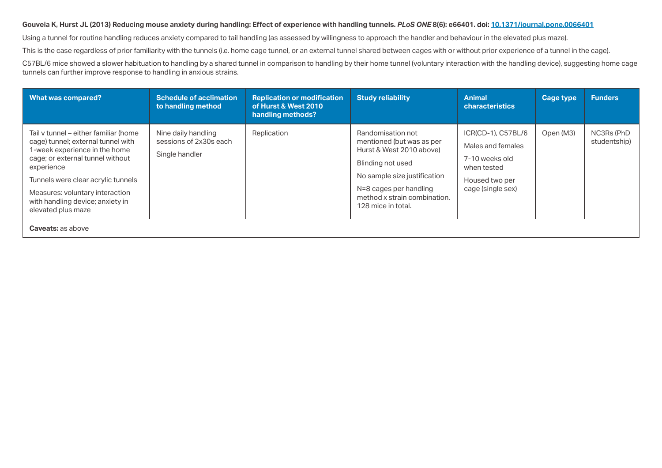# **Gouveia K, Hurst JL (2013) Reducing mouse anxiety during handling: Effect of experience with handling tunnels.** *PLoS ONE* **8(6): e66401. [doi: 10.1371/journal.pone.0066401](https://doi.org/10.1371/journal.pone.0066401)**

Using a tunnel for routine handling reduces anxiety compared to tail handling (as assessed by willingness to approach the handler and behaviour in the elevated plus maze).

This is the case regardless of prior familiarity with the tunnels (i.e. home cage tunnel, or an external tunnel shared between cages with or without prior experience of a tunnel in the cage).

C57BL/6 mice showed a slower habituation to handling by a shared tunnel in comparison to handling by their home tunnel (voluntary interaction with the handling device), suggesting home cage tunnels can further improve response to handling in anxious strains.

| <b>What was compared?</b>                                                                                                                                                                                                                                                                         | <b>Schedule of acclimation</b><br>to handling method            | <b>Replication or modification</b><br>of Hurst & West 2010<br>handling methods? | <b>Study reliability</b>                                                                                                                                                                                        | <b>Animal</b><br><b>characteristics</b>                                                                         | <b>Cage type</b> | <b>Funders</b>             |  |  |
|---------------------------------------------------------------------------------------------------------------------------------------------------------------------------------------------------------------------------------------------------------------------------------------------------|-----------------------------------------------------------------|---------------------------------------------------------------------------------|-----------------------------------------------------------------------------------------------------------------------------------------------------------------------------------------------------------------|-----------------------------------------------------------------------------------------------------------------|------------------|----------------------------|--|--|
| Tail v tunnel – either familiar (home<br>cage) tunnel; external tunnel with<br>1-week experience in the home<br>cage; or external tunnel without<br>experience<br>Tunnels were clear acrylic tunnels<br>Measures: voluntary interaction<br>with handling device; anxiety in<br>elevated plus maze | Nine daily handling<br>sessions of 2x30s each<br>Single handler | Replication                                                                     | Randomisation not<br>mentioned (but was as per<br>Hurst & West 2010 above)<br>Blinding not used<br>No sample size justification<br>N=8 cages per handling<br>method x strain combination.<br>128 mice in total. | ICR(CD-1), C57BL/6<br>Males and females<br>7-10 weeks old<br>when tested<br>Housed two per<br>cage (single sex) | Open (M3)        | NC3Rs (PhD<br>studentship) |  |  |
| <b>Caveats: as above</b>                                                                                                                                                                                                                                                                          |                                                                 |                                                                                 |                                                                                                                                                                                                                 |                                                                                                                 |                  |                            |  |  |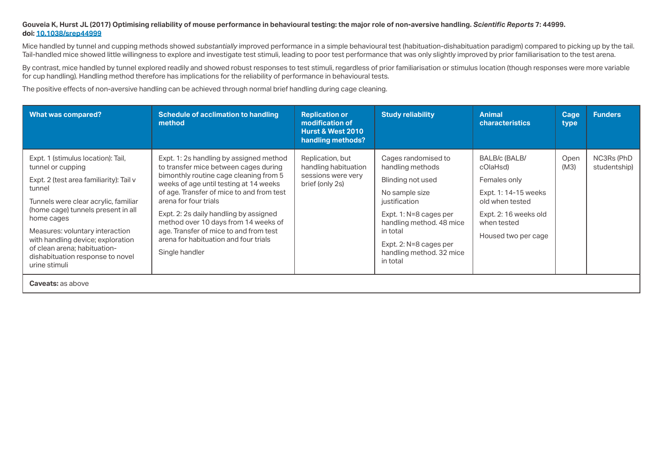# **Gouveia K, Hurst JL (2017) Optimising reliability of mouse performance in behavioural testing: the major role of non-aversive handling.** *Scientific Reports* **7: 44999. doi: 10.1038/srep44999**

Mice handled by tunnel and cupping methods showed *substantially* improved performance in a simple behavioural test (habituation-dishabituation paradigm) compared to picking up by the tail. Tail-handled mice showed little willingness to explore and investigate test stimuli, leading to poor test performance that was only slightly improved by prior familiarisation to the test arena.

By contrast, mice handled by tunnel explored readily and showed robust responses to test stimuli, regardless of prior familiarisation or stimulus location (though responses were more variable for cup handling). Handling method therefore has implications for the reliability of performance in behavioural tests.

The positive effects of non-aversive handling can be achieved through normal brief handling during cage cleaning.

| <b>What was compared?</b>                                                                                                                                                                                                                                                                                                                                             | Schedule of acclimation to handling<br>method                                                                                                                                                                                                                                                                                                                                                                                     | <b>Replication or</b><br>modification of<br><b>Hurst &amp; West 2010</b><br>handling methods? | <b>Study reliability</b>                                                                                                                                                                                                            | <b>Animal</b><br><b>characteristics</b>                                                                                                             | Cage<br>type | <b>Funders</b>             |  |  |  |  |
|-----------------------------------------------------------------------------------------------------------------------------------------------------------------------------------------------------------------------------------------------------------------------------------------------------------------------------------------------------------------------|-----------------------------------------------------------------------------------------------------------------------------------------------------------------------------------------------------------------------------------------------------------------------------------------------------------------------------------------------------------------------------------------------------------------------------------|-----------------------------------------------------------------------------------------------|-------------------------------------------------------------------------------------------------------------------------------------------------------------------------------------------------------------------------------------|-----------------------------------------------------------------------------------------------------------------------------------------------------|--------------|----------------------------|--|--|--|--|
| Expt. 1 (stimulus location): Tail,<br>tunnel or cupping<br>Expt. 2 (test area familiarity): Tail v<br>tunnel<br>Tunnels were clear acrylic, familiar<br>(home cage) tunnels present in all<br>home cages<br>Measures: voluntary interaction<br>with handling device; exploration<br>of clean arena; habituation-<br>dishabituation response to novel<br>urine stimuli | Expt. 1: 2s handling by assigned method<br>to transfer mice between cages during<br>bimonthly routine cage cleaning from 5<br>weeks of age until testing at 14 weeks<br>of age. Transfer of mice to and from test<br>arena for four trials<br>Expt. 2: 2s daily handling by assigned<br>method over 10 days from 14 weeks of<br>age. Transfer of mice to and from test<br>arena for habituation and four trials<br>Single handler | Replication, but<br>handling habituation<br>sessions were very<br>brief (only 2s)             | Cages randomised to<br>handling methods<br>Blinding not used<br>No sample size<br>justification<br>Expt. 1: N=8 cages per<br>handling method. 48 mice<br>in total<br>Expt. 2: N=8 cages per<br>handling method. 32 mice<br>in total | BALB/c (BALB/<br>cOlaHsd)<br>Females only<br>Expt. 1: 14-15 weeks<br>old when tested<br>Expt. 2: 16 weeks old<br>when tested<br>Housed two per cage | Open<br>(M3) | NC3Rs (PhD<br>studentship) |  |  |  |  |
| <b>Caveats: as above</b>                                                                                                                                                                                                                                                                                                                                              |                                                                                                                                                                                                                                                                                                                                                                                                                                   |                                                                                               |                                                                                                                                                                                                                                     |                                                                                                                                                     |              |                            |  |  |  |  |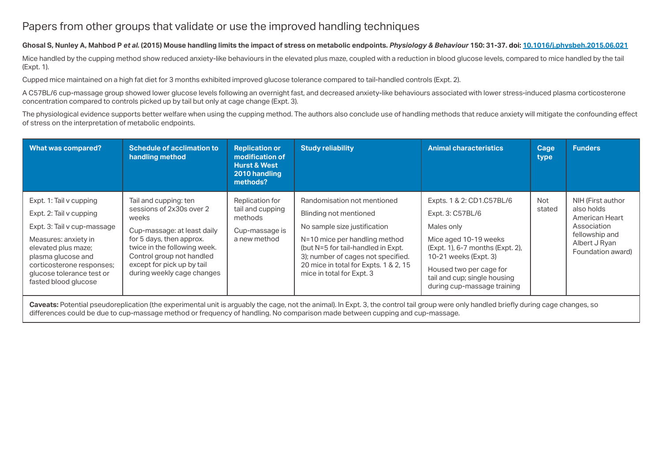# Papers from other groups that validate or use the improved handling techniques

# **Ghosal S, Nunley A, Mahbod P** *et al.* **(2015) Mouse handling limits the impact of stress on metabolic endpoints.** *Physiology & Behaviour* **150: 31-37. [doi: 10.1016/j.physbeh.2015.06.021](https://doi.org/10.1016/j.physbeh.2015.06.021)**

Mice handled by the cupping method show reduced anxiety-like behaviours in the elevated plus maze, coupled with a reduction in blood glucose levels, compared to mice handled by the tail (Expt. 1).

Cupped mice maintained on a high fat diet for 3 months exhibited improved glucose tolerance compared to tail-handled controls (Expt. 2).

A C57BL/6 cup-massage group showed lower glucose levels following an overnight fast, and decreased anxiety-like behaviours associated with lower stress-induced plasma corticosterone concentration compared to controls picked up by tail but only at cage change (Expt. 3).

The physiological evidence supports better welfare when using the cupping method. The authors also conclude use of handling methods that reduce anxiety will mitigate the confounding effect of stress on the interpretation of metabolic endpoints.

| What was compared?                                                                                                                                                                                                                       | <b>Schedule of acclimation to</b><br>handling method                                                                                                                                                                                           | <b>Replication or</b><br>modification of<br><b>Hurst &amp; West</b><br>2010 handling<br>methods? | <b>Study reliability</b>                                                                                                                                                                                                                                                 | <b>Animal characteristics</b>                                                                                                                                                                                                               | Cage<br>type  | <b>Funders</b>                                                                                                           |  |  |  |  |
|------------------------------------------------------------------------------------------------------------------------------------------------------------------------------------------------------------------------------------------|------------------------------------------------------------------------------------------------------------------------------------------------------------------------------------------------------------------------------------------------|--------------------------------------------------------------------------------------------------|--------------------------------------------------------------------------------------------------------------------------------------------------------------------------------------------------------------------------------------------------------------------------|---------------------------------------------------------------------------------------------------------------------------------------------------------------------------------------------------------------------------------------------|---------------|--------------------------------------------------------------------------------------------------------------------------|--|--|--|--|
| Expt. 1: Tail v cupping<br>Expt. 2: Tail v cupping<br>Expt. 3: Tail v cup-massage<br>Measures: anxiety in<br>elevated plus maze;<br>plasma glucose and<br>corticosterone responses;<br>glucose tolerance test or<br>fasted blood glucose | Tail and cupping: ten<br>sessions of 2x30s over 2<br>weeks<br>Cup-massage: at least daily<br>for 5 days, then approx.<br>twice in the following week.<br>Control group not handled<br>except for pick up by tail<br>during weekly cage changes | Replication for<br>tail and cupping<br>methods<br>Cup-massage is<br>a new method                 | Randomisation not mentioned<br>Blinding not mentioned<br>No sample size justification<br>N=10 mice per handling method<br>(but N=5 for tail-handled in Expt.<br>3); number of cages not specified.<br>20 mice in total for Expts. 1 & 2, 15<br>mice in total for Expt. 3 | Expts. 1 & 2: CD1.C57BL/6<br>Expt. 3: C57BL/6<br>Males only<br>Mice aged 10-19 weeks<br>(Expt. 1), 6-7 months (Expt. 2),<br>10-21 weeks (Expt. 3)<br>Housed two per cage for<br>tail and cup; single housing<br>during cup-massage training | Not<br>stated | NIH (First author<br>also holds<br>American Heart<br>Association<br>fellowship and<br>Albert J Ryan<br>Foundation award) |  |  |  |  |
| . The contract is the contract of the contract of the contract of the contract of the contract of the contract of the contract of the contract of the contract of the contract of the contract of the contract of the contrac            | Caveats: Potential pseudoreplication (the experimental unit is arguably the cage, not the animal). In Expt. 3, the control tail group were only handled briefly during cage changes, so                                                        |                                                                                                  |                                                                                                                                                                                                                                                                          |                                                                                                                                                                                                                                             |               |                                                                                                                          |  |  |  |  |

differences could be due to cup-massage method or frequency of handling. No comparison made between cupping and cup-massage.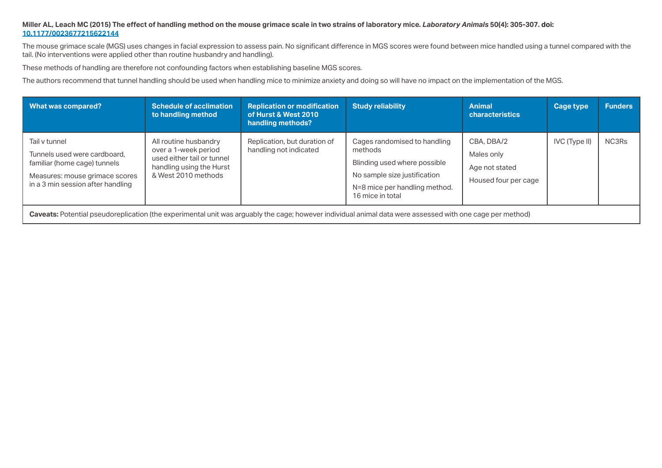# **Miller AL, Leach MC (2015) The effect of handling method on the mouse grimace scale in two strains of laboratory mice.** *Laboratory Animals* **50(4): 305-307. [doi:](http://doi.org/10.1177/0023677215622144)  [10.1177/0023677215622144](http://doi.org/10.1177/0023677215622144)**

The mouse grimace scale (MGS) uses changes in facial expression to assess pain. No significant difference in MGS scores were found between mice handled using a tunnel compared with the tail. (No interventions were applied other than routine husbandry and handling).

These methods of handling are therefore not confounding factors when establishing baseline MGS scores.

The authors recommend that tunnel handling should be used when handling mice to minimize anxiety and doing so will have no impact on the implementation of the MGS.

| What was compared?                                                                                                                                        | <b>Schedule of acclimation</b><br>to handling method                                                                           | <b>Replication or modification</b><br>of Hurst & West 2010<br>handling methods? | <b>Study reliability</b>                                                                                                                                     | Animal<br><b>characteristics</b>                                   | Cage type     | <b>Funders</b> |  |  |  |
|-----------------------------------------------------------------------------------------------------------------------------------------------------------|--------------------------------------------------------------------------------------------------------------------------------|---------------------------------------------------------------------------------|--------------------------------------------------------------------------------------------------------------------------------------------------------------|--------------------------------------------------------------------|---------------|----------------|--|--|--|
| Tail v tunnel<br>Tunnels used were cardboard.<br>familiar (home cage) tunnels<br>Measures: mouse grimace scores<br>in a 3 min session after handling      | All routine husbandry<br>over a 1-week period<br>used either tail or tunnel<br>handling using the Hurst<br>& West 2010 methods | Replication, but duration of<br>handling not indicated                          | Cages randomised to handling<br>methods<br>Blinding used where possible<br>No sample size justification<br>N=8 mice per handling method.<br>16 mice in total | CBA, DBA/2<br>Males only<br>Age not stated<br>Housed four per cage | IVC (Type II) | NC3Rs          |  |  |  |
| Caveats: Potential pseudoreplication (the experimental unit was arguably the cage; however individual animal data were assessed with one cage per method) |                                                                                                                                |                                                                                 |                                                                                                                                                              |                                                                    |               |                |  |  |  |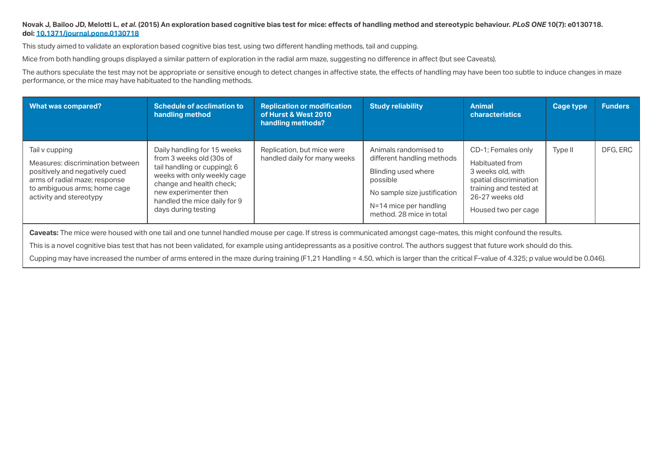#### **Novak J, Bailoo JD, Melotti L,** *et al.* **(2015) An exploration based cognitive bias test for mice: effects of handling method and stereotypic behaviour.** *PLoS ONE* **10(7): e0130718. [doi: 10.1371/journal.pone.0130718](https://doi.org/10.1371/journal.pone.0130718)**

This study aimed to validate an exploration based cognitive bias test, using two different handling methods, tail and cupping.

Mice from both handling groups displayed a similar pattern of exploration in the radial arm maze, suggesting no difference in affect (but see Caveats).

The authors speculate the test may not be appropriate or sensitive enough to detect changes in affective state, the effects of handling may have been too subtle to induce changes in maze performance, or the mice may have habituated to the handling methods.

| <b>What was compared?</b>                                                                                                                                                        | <b>Schedule of acclimation to</b><br>handling method                                                                                                                                                                               | <b>Replication or modification</b><br>of Hurst & West 2010<br>handling methods? | <b>Study reliability</b>                                                                                                                                                     | <b>Animal</b><br><b>characteristics</b>                                                                                                                  | Cage type | <b>Funders</b> |
|----------------------------------------------------------------------------------------------------------------------------------------------------------------------------------|------------------------------------------------------------------------------------------------------------------------------------------------------------------------------------------------------------------------------------|---------------------------------------------------------------------------------|------------------------------------------------------------------------------------------------------------------------------------------------------------------------------|----------------------------------------------------------------------------------------------------------------------------------------------------------|-----------|----------------|
| Tail v cupping<br>Measures: discrimination between<br>positively and negatively cued<br>arms of radial maze; response<br>to ambiguous arms; home cage<br>activity and stereotypy | Daily handling for 15 weeks<br>from 3 weeks old (30s of<br>tail handling or cupping); 6<br>weeks with only weekly cage<br>change and health check;<br>new experimenter then<br>handled the mice daily for 9<br>days during testing | Replication, but mice were<br>handled daily for many weeks                      | Animals randomised to<br>different handling methods<br>Blinding used where<br>possible<br>No sample size justification<br>N=14 mice per handling<br>method. 28 mice in total | CD-1; Females only<br>Habituated from<br>3 weeks old, with<br>spatial discrimination<br>training and tested at<br>26-27 weeks old<br>Housed two per cage | Type II   | DFG, ERC       |

**Caveats:** The mice were housed with one tail and one tunnel handled mouse per cage. If stress is communicated amongst cage-mates, this might confound the results.

This is a novel cognitive bias test that has not been validated, for example using antidepressants as a positive control. The authors suggest that future work should do this.

Cupping may have increased the number of arms entered in the maze during training (F1,21 Handling = 4.50, which is larger than the critical F-value of 4.325; p value would be 0.046).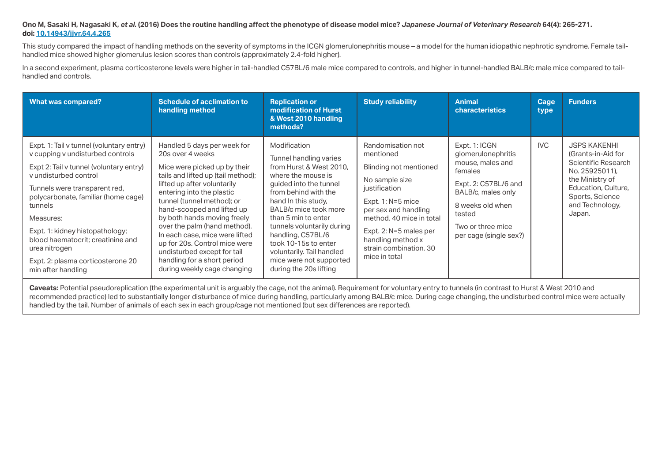### **Ono M, Sasaki H, Nagasaki K,** *et al.* **(2016) Does the routine handling affect the phenotype of disease model mice?** *Japanese Journal of Veterinary Research* **64(4): 265-271. [doi: 10.14943/jjvr.64.4.265](https://doi.org/10.14943/jjvr.64.4.265)**

This study compared the impact of handling methods on the severity of symptoms in the ICGN glomerulonephritis mouse – a model for the human idiopathic nephrotic syndrome. Female tailhandled mice showed higher glomerulus lesion scores than controls (approximately 2.4-fold higher).

In a second experiment, plasma corticosterone levels were higher in tail-handled C57BL/6 male mice compared to controls, and higher in tunnel-handled BALB/c male mice compared to tailhandled and controls.

| <b>What was compared?</b>                                                                                                                                                                                                                                                                                                                                                                            | <b>Schedule of acclimation to</b><br>handling method                                                                                                                                                                                                                                                                                                                                                                                                                         | <b>Replication or</b><br>modification of Hurst<br>& West 2010 handling<br>methods?                                                                                                                                                                                                                                                                                            | <b>Study reliability</b>                                                                                                                                                                                                                                         | <b>Animal</b><br><b>characteristics</b>                                                                                                                                                       | Cage<br>type | <b>Funders</b>                                                                                                                                                                      |
|------------------------------------------------------------------------------------------------------------------------------------------------------------------------------------------------------------------------------------------------------------------------------------------------------------------------------------------------------------------------------------------------------|------------------------------------------------------------------------------------------------------------------------------------------------------------------------------------------------------------------------------------------------------------------------------------------------------------------------------------------------------------------------------------------------------------------------------------------------------------------------------|-------------------------------------------------------------------------------------------------------------------------------------------------------------------------------------------------------------------------------------------------------------------------------------------------------------------------------------------------------------------------------|------------------------------------------------------------------------------------------------------------------------------------------------------------------------------------------------------------------------------------------------------------------|-----------------------------------------------------------------------------------------------------------------------------------------------------------------------------------------------|--------------|-------------------------------------------------------------------------------------------------------------------------------------------------------------------------------------|
| Expt. 1: Tail v tunnel (voluntary entry)<br>v cupping v undisturbed controls<br>Expt 2: Tail v tunnel (voluntary entry)<br>v undisturbed control<br>Tunnels were transparent red,<br>polycarbonate, familiar (home cage)<br>tunnels<br>Measures:<br>Expt. 1: kidney histopathology;<br>blood haematocrit; creatinine and<br>urea nitrogen<br>Expt. 2: plasma corticosterone 20<br>min after handling | Handled 5 days per week for<br>20s over 4 weeks<br>Mice were picked up by their<br>tails and lifted up (tail method);<br>lifted up after voluntarily<br>entering into the plastic<br>tunnel (tunnel method); or<br>hand-scooped and lifted up<br>by both hands moving freely<br>over the palm (hand method).<br>In each case, mice were lifted<br>up for 20s. Control mice were<br>undisturbed except for tail<br>handling for a short period<br>during weekly cage changing | Modification<br>Tunnel handling varies<br>from Hurst & West 2010.<br>where the mouse is<br>guided into the tunnel<br>from behind with the<br>hand In this study,<br>BALB/c mice took more<br>than 5 min to enter<br>tunnels voluntarily during<br>handling, C57BL/6<br>took 10-15s to enter<br>voluntarily. Tail handled<br>mice were not supported<br>during the 20s lifting | Randomisation not<br>mentioned<br>Blinding not mentioned<br>No sample size<br>justification<br>Expt. $1: N=5$ mice<br>per sex and handling<br>method, 40 mice in total<br>Expt. 2: N=5 males per<br>handling method x<br>strain combination. 30<br>mice in total | Expt. 1: ICGN<br>glomerulonephritis<br>mouse, males and<br>females<br>Expt. 2: C57BL/6 and<br>BALB/c, males only<br>8 weeks old when<br>tested<br>Two or three mice<br>per cage (single sex?) | <b>IVC</b>   | <b>JSPS KAKENHI</b><br>(Grants-in-Aid for<br><b>Scientific Research</b><br>No. 25925011),<br>the Ministry of<br>Education, Culture,<br>Sports, Science<br>and Technology,<br>Japan. |

Caveats: Potential pseudoreplication (the experimental unit is arguably the cage, not the animal). Requirement for voluntary entry to tunnels (in contrast to Hurst & West 2010 and recommended practice) led to substantially longer disturbance of mice during handling, particularly among BALB/c mice. During cage changing, the undisturbed control mice were actually handled by the tail. Number of animals of each sex in each group/cage not mentioned (but sex differences are reported).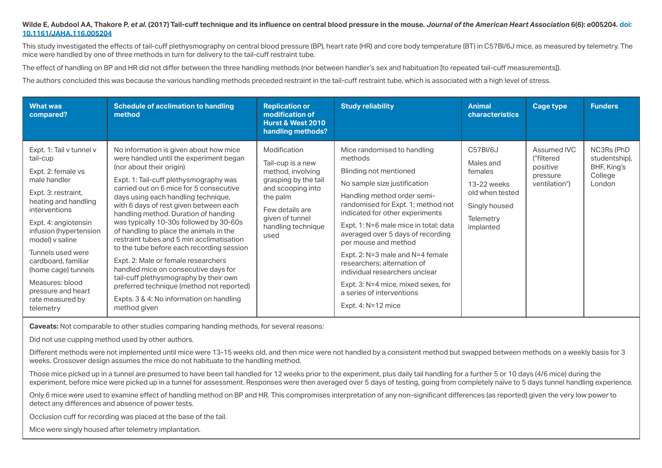#### **Wilde E, Aubdool AA, Thakore P,** *et al.* **(2017) Tail-cuff technique and its influence on central blood pressure in the mouse.** *Journal of the American Heart Association* **6(6): e005204. doi: 10.1161/JAHA.116.005204**

This study investigated the effects of tail-cuff plethysmography on central blood pressure (BP), heart rate (HR) and core body temperature (BT) in C57Bl/6J mice, as measured by telemetry. The mice were handled by one of three methods in turn for delivery to the tail-cuff restraint tube.

The effect of handling on BP and HR did not differ between the three handling methods (nor between handler's sex and habituation [to repeated tail-cuff measurements]).

The authors concluded this was because the various handling methods preceded restraint in the tail-cuff restraint tube, which is associated with a high level of stress.

| <b>What was</b><br>compared?                                                                                                                                                                                                                                                                                                                                 | <b>Schedule of acclimation to handling</b><br>method                                                                                                                                                                                                                                                                                                                                                                                                                                                                                                                                                                                                                                                                                          | <b>Replication or</b><br>modification of<br><b>Hurst &amp; West 2010</b><br>handling methods?                                                                                       | <b>Study reliability</b>                                                                                                                                                                                                                                                                                                                                                                                                                                                                                        | <b>Animal</b><br><b>characteristics</b>                                                                       | Cage type                                                          | <b>Funders</b>                                                  |
|--------------------------------------------------------------------------------------------------------------------------------------------------------------------------------------------------------------------------------------------------------------------------------------------------------------------------------------------------------------|-----------------------------------------------------------------------------------------------------------------------------------------------------------------------------------------------------------------------------------------------------------------------------------------------------------------------------------------------------------------------------------------------------------------------------------------------------------------------------------------------------------------------------------------------------------------------------------------------------------------------------------------------------------------------------------------------------------------------------------------------|-------------------------------------------------------------------------------------------------------------------------------------------------------------------------------------|-----------------------------------------------------------------------------------------------------------------------------------------------------------------------------------------------------------------------------------------------------------------------------------------------------------------------------------------------------------------------------------------------------------------------------------------------------------------------------------------------------------------|---------------------------------------------------------------------------------------------------------------|--------------------------------------------------------------------|-----------------------------------------------------------------|
| Expt. 1: Tail v tunnel v<br>tail-cup<br>Expt. 2: female vs<br>male handler<br>Expt. 3: restraint,<br>heating and handling<br>interventions<br>Expt. 4: angiotensin<br>infusion (hypertension<br>model) v saline<br>Tunnels used were<br>cardboard, familiar<br>(home cage) tunnels<br>Measures: blood<br>pressure and heart<br>rate measured by<br>telemetry | No information is given about how mice<br>were handled until the experiment began<br>(nor about their origin)<br>Expt. 1: Tail-cuff plethysmography was<br>carried out on 6 mice for 5 consecutive<br>days using each handling technique,<br>with 6 days of rest given between each<br>handling method. Duration of handing<br>was typically 10-30s followed by 30-60s<br>of handling to place the animals in the<br>restraint tubes and 5 min acclimatisation<br>to the tube before each recording session<br>Expt. 2: Male or female researchers<br>handled mice on consecutive days for<br>tail-cuff plethysmography by their own<br>preferred technique (method not reported)<br>Expts. 3 & 4: No information on handling<br>method given | Modification<br>Tail-cup is a new<br>method, involving<br>grasping by the tail<br>and scooping into<br>the palm<br>Few details are<br>given of tunnel<br>handling technique<br>used | Mice randomised to handling<br>methods<br>Blinding not mentioned<br>No sample size justification<br>Handling method order semi-<br>randomised for Expt. 1; method not<br>indicated for other experiments<br>Expt. 1: N=6 male mice in total; data<br>averaged over 5 days of recording<br>per mouse and method<br>Expt. 2: N=3 male and N=4 female<br>researchers; alternation of<br>individual researchers unclear<br>Expt. 3: N=4 mice, mixed sexes, for<br>a series of interventions<br>Expt. 4: $N=12$ mice | C57BI/6J<br>Males and<br>females<br>13-22 weeks<br>old when tested<br>Singly housed<br>Telemetry<br>implanted | Assumed IVC<br>("filtered<br>positive<br>pressure<br>ventilation") | NC3Rs (PhD<br>studentship),<br>BHF, King's<br>College<br>London |

**Caveats:** Not comparable to other studies comparing handing methods, for several reasons:

Did not use cupping method used by other authors.

Different methods were not implemented until mice were 13-15 weeks old, and then mice were not handled by a consistent method but swapped between methods on a weekly basis for 3 weeks. Crossover design assumes the mice do not habituate to the handling method.

Those mice picked up in a tunnel are presumed to have been tail handled for 12 weeks prior to the experiment, plus daily tail handling for a further 5 or 10 days (4/6 mice) during the experiment, before mice were picked up in a tunnel for assessment. Responses were then averaged over 5 days of testing, going from completely naïve to 5 days tunnel handling experience.

Only 6 mice were used to examine effect of handling method on BP and HR. This compromises interpretation of any non-significant differences (as reported) given the very low power to detect any differences and absence of power tests.

Occlusion cuff for recording was placed at the base of the tail.

Mice were singly housed after telemetry implantation.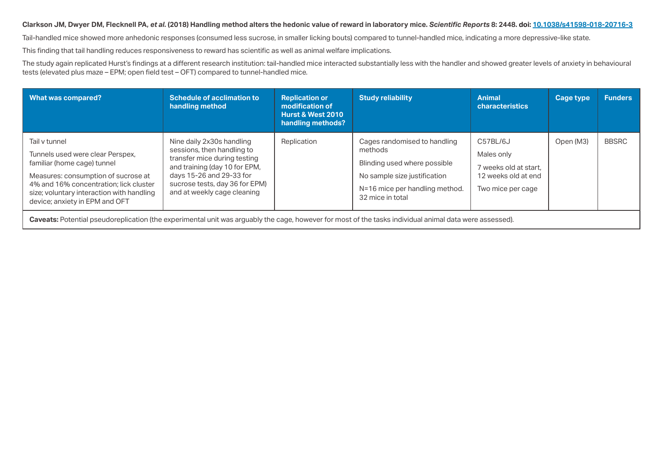# **Clarkson JM, Dwyer DM, Flecknell PA,** *et al.* **(2018) Handling method alters the hedonic value of reward in laboratory mice.** *Scientific Reports* **8: 2448. [doi: 10.1038/s41598-018-20716-3](https://doi.org/10.1038/s41598-018-20716-3)**

Tail-handled mice showed more anhedonic responses (consumed less sucrose, in smaller licking bouts) compared to tunnel-handled mice, indicating a more depressive-like state.

This finding that tail handling reduces responsiveness to reward has scientific as well as animal welfare implications.

The study again replicated Hurst's findings at a different research institution: tail-handled mice interacted substantially less with the handler and showed greater levels of anxiety in behavioural tests (elevated plus maze – EPM; open field test – OFT) compared to tunnel-handled mice.

| What was compared?                                                                                                                                                                                                                               | <b>Schedule of acclimation to</b><br>handling method                                                                                                                                                                  | <b>Replication or</b><br>modification of<br><b>Hurst &amp; West 2010</b><br>handling methods? | <b>Study reliability</b>                                                                                                                                      | <b>Animal</b><br><b>characteristics</b>                                                     | <b>Cage type</b> | <b>Funders</b> |  |  |  |  |
|--------------------------------------------------------------------------------------------------------------------------------------------------------------------------------------------------------------------------------------------------|-----------------------------------------------------------------------------------------------------------------------------------------------------------------------------------------------------------------------|-----------------------------------------------------------------------------------------------|---------------------------------------------------------------------------------------------------------------------------------------------------------------|---------------------------------------------------------------------------------------------|------------------|----------------|--|--|--|--|
| Tail v tunnel<br>Tunnels used were clear Perspex,<br>familiar (home cage) tunnel<br>Measures: consumption of sucrose at<br>4% and 16% concentration; lick cluster<br>size; voluntary interaction with handling<br>device; anxiety in EPM and OFT | Nine daily 2x30s handling<br>sessions, then handling to<br>transfer mice during testing<br>and training (day 10 for EPM,<br>days 15-26 and 29-33 for<br>sucrose tests, day 36 for EPM)<br>and at weekly cage cleaning | Replication                                                                                   | Cages randomised to handling<br>methods<br>Blinding used where possible<br>No sample size justification<br>N=16 mice per handling method.<br>32 mice in total | C57BL/6J<br>Males only<br>7 weeks old at start.<br>12 weeks old at end<br>Two mice per cage | Open (M3)        | <b>BBSRC</b>   |  |  |  |  |
|                                                                                                                                                                                                                                                  | <b>Caveats:</b> Potential pseudoreplication (the experimental unit was arguably the cage, however for most of the tasks individual animal data were assessed).                                                        |                                                                                               |                                                                                                                                                               |                                                                                             |                  |                |  |  |  |  |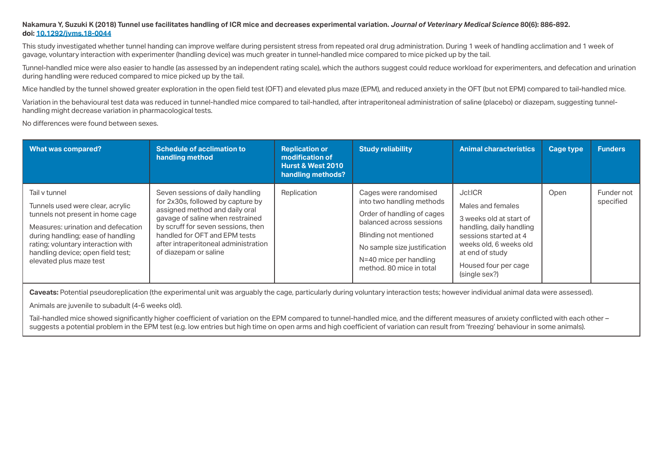#### **Nakamura Y, Suzuki K (2018) Tunnel use facilitates handling of ICR mice and decreases experimental variation.** *Journal of Veterinary Medical Science* **80(6): 886-892. [doi: 10.1292/jvms.18-0044](https://doi.org/10.1292/jvms.18-0044)**

This study investigated whether tunnel handing can improve welfare during persistent stress from repeated oral drug administration. During 1 week of handling acclimation and 1 week of gavage, voluntary interaction with experimenter (handling device) was much greater in tunnel-handled mice compared to mice picked up by the tail.

Tunnel-handled mice were also easier to handle (as assessed by an independent rating scale), which the authors suggest could reduce workload for experimenters, and defecation and urination during handling were reduced compared to mice picked up by the tail.

Mice handled by the tunnel showed greater exploration in the open field test (OFT) and elevated plus maze (EPM), and reduced anxiety in the OFT (but not EPM) compared to tail-handled mice.

Variation in the behavioural test data was reduced in tunnel-handled mice compared to tail-handled, after intraperitoneal administration of saline (placebo) or diazepam, suggesting tunnelhandling might decrease variation in pharmacological tests.

No differences were found between sexes.

| <b>What was compared?</b>                                                                                                                                                                                                                                              | <b>Schedule of acclimation to</b><br>handling method                                                                                                                                                                                                                                | <b>Replication or</b><br>modification of<br>Hurst & West 2010<br>handling methods? | <b>Study reliability</b>                                                                                                                                                                                                     | <b>Animal characteristics</b>                                                                                                                                                                      | <b>Cage type</b> | <b>Funders</b>          |
|------------------------------------------------------------------------------------------------------------------------------------------------------------------------------------------------------------------------------------------------------------------------|-------------------------------------------------------------------------------------------------------------------------------------------------------------------------------------------------------------------------------------------------------------------------------------|------------------------------------------------------------------------------------|------------------------------------------------------------------------------------------------------------------------------------------------------------------------------------------------------------------------------|----------------------------------------------------------------------------------------------------------------------------------------------------------------------------------------------------|------------------|-------------------------|
| Tail v tunnel<br>Tunnels used were clear, acrylic<br>tunnels not present in home cage<br>Measures: urination and defecation<br>during handling; ease of handling<br>rating; voluntary interaction with<br>handling device; open field test;<br>elevated plus maze test | Seven sessions of daily handling<br>for 2x30s, followed by capture by<br>assigned method and daily oral<br>gavage of saline when restrained<br>by scruff for seven sessions, then<br>handled for OFT and EPM tests<br>after intraperitoneal administration<br>of diazepam or saline | Replication                                                                        | Cages were randomised<br>into two handling methods<br>Order of handling of cages<br>balanced across sessions<br>Blinding not mentioned<br>No sample size justification<br>N=40 mice per handling<br>method. 80 mice in total | Jcl:ICR<br>Males and females<br>3 weeks old at start of<br>handling, daily handling<br>sessions started at 4<br>weeks old, 6 weeks old<br>at end of study<br>Housed four per cage<br>(single sex?) | Open             | Funder not<br>specified |

**Caveats:** Potential pseudoreplication (the experimental unit was arguably the cage, particularly during voluntary interaction tests; however individual animal data were assessed).

Animals are juvenile to subadult (4-6 weeks old).

Tail-handled mice showed significantly higher coefficient of variation on the EPM compared to tunnel-handled mice, and the different measures of anxiety conflicted with each other suggests a potential problem in the EPM test (e.g. low entries but high time on open arms and high coefficient of variation can result from 'freezing' behaviour in some animals).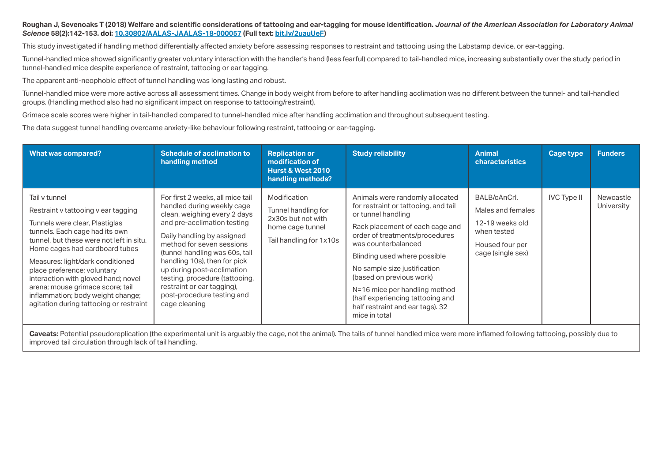#### **Roughan J, Sevenoaks T (2018) Welfare and scientific considerations of tattooing and ear-tagging for mouse identification.** *Journal of the American Association for Laboratory Animal Science* **58(2):142-153. [doi: 10.30802/AALAS-JAALAS-18-000057](https://doi.org/10.30802/AALAS-JAALAS-18-000057) (Full text: [bit.ly/2uauUeF](http://bit.ly/2uauUeF))**

This study investigated if handling method differentially affected anxiety before assessing responses to restraint and tattooing using the Labstamp device, or ear-tagging.

Tunnel-handled mice showed significantly greater voluntary interaction with the handler's hand (less fearful) compared to tail-handled mice, increasing substantially over the study period in tunnel-handled mice despite experience of restraint, tattooing or ear tagging.

The apparent anti-neophobic effect of tunnel handling was long lasting and robust.

Tunnel-handled mice were more active across all assessment times. Change in body weight from before to after handling acclimation was no different between the tunnel- and tail-handled groups. (Handling method also had no significant impact on response to tattooing/restraint).

Grimace scale scores were higher in tail-handled compared to tunnel-handled mice after handling acclimation and throughout subsequent testing.

The data suggest tunnel handling overcame anxiety-like behaviour following restraint, tattooing or ear-tagging.

| <b>What was compared?</b>                                                                                                                                                                                                                                                                                                                                                                                                            | <b>Schedule of acclimation to</b><br>handling method                                                                                                                                                                                                                                                                                                                                                    | <b>Replication or</b><br>modification of<br><b>Hurst &amp; West 2010</b><br>handling methods?            | <b>Study reliability</b>                                                                                                                                                                                                                                                                                                                                                                                        | <b>Animal</b><br><b>characteristics</b>                                                                     | <b>Cage type</b>   | <b>Funders</b>          |
|--------------------------------------------------------------------------------------------------------------------------------------------------------------------------------------------------------------------------------------------------------------------------------------------------------------------------------------------------------------------------------------------------------------------------------------|---------------------------------------------------------------------------------------------------------------------------------------------------------------------------------------------------------------------------------------------------------------------------------------------------------------------------------------------------------------------------------------------------------|----------------------------------------------------------------------------------------------------------|-----------------------------------------------------------------------------------------------------------------------------------------------------------------------------------------------------------------------------------------------------------------------------------------------------------------------------------------------------------------------------------------------------------------|-------------------------------------------------------------------------------------------------------------|--------------------|-------------------------|
| Tail v tunnel<br>Restraint v tattooing v ear tagging<br>Tunnels were clear, Plastiglas<br>tunnels. Each cage had its own<br>tunnel, but these were not left in situ.<br>Home cages had cardboard tubes<br>Measures: light/dark conditioned<br>place preference; voluntary<br>interaction with gloved hand; novel<br>arena; mouse grimace score; tail<br>inflammation; body weight change;<br>agitation during tattooing or restraint | For first 2 weeks, all mice tail<br>handled during weekly cage<br>clean, weighing every 2 days<br>and pre-acclimation testing<br>Daily handling by assigned<br>method for seven sessions<br>(tunnel handling was 60s, tail<br>handling 10s), then for pick<br>up during post-acclimation<br>testing, procedure (tattooing,<br>restraint or ear tagging),<br>post-procedure testing and<br>cage cleaning | Modification<br>Tunnel handling for<br>2x30s but not with<br>home cage tunnel<br>Tail handling for 1x10s | Animals were randomly allocated<br>for restraint or tattooing, and tail<br>or tunnel handling<br>Rack placement of each cage and<br>order of treatments/procedures<br>was counterbalanced<br>Blinding used where possible<br>No sample size justification<br>(based on previous work)<br>N=16 mice per handling method<br>(half experiencing tattooing and<br>half restraint and ear tags). 32<br>mice in total | BALB/cAnCrl.<br>Males and females<br>12-19 weeks old<br>when tested<br>Housed four per<br>cage (single sex) | <b>IVC Type II</b> | Newcastle<br>University |

Caveats: Potential pseudoreplication (the experimental unit is arguably the cage, not the animal). The tails of tunnel handled mice were more inflamed following tattooing, possibly due to improved tail circulation through lack of tail handling.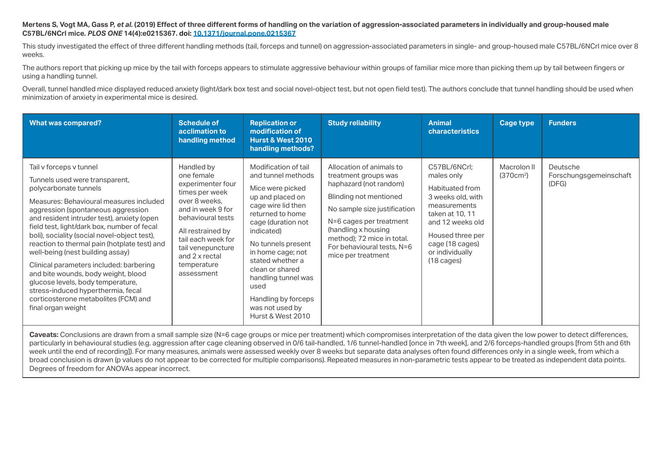### Mertens S, Vogt MA, Gass P, et al. (2019) Effect of three different forms of handling on the variation of aggression-associated parameters in individually and group-housed male **C57BL/6NCrl mice.** *PLOS ONE* **14(4):e0215367. [doi: 10.1371/journal.pone.0215367](http://doi.org/10.1371/journal.pone.0215367)**

This study investigated the effect of three different handling methods (tail, forceps and tunnel) on aggression-associated parameters in single- and group-housed male C57BL/6NCrl mice over 8 weeks.

The authors report that picking up mice by the tail with forceps appears to stimulate aggressive behaviour within groups of familiar mice more than picking them up by tail between fingers or using a handling tunnel.

Overall, tunnel handled mice displayed reduced anxiety (light/dark box test and social novel-object test, but not open field test). The authors conclude that tunnel handling should be used when minimization of anxiety in experimental mice is desired.

| <b>What was compared?</b>                                                                                                                                                                                                                                                                                                                                                                                                                                                                                                                                                                                                       | <b>Schedule of</b><br>acclimation to<br>handling method                                                                                                                                                                                   | <b>Replication or</b><br>modification of<br><b>Hurst &amp; West 2010</b><br>handling methods?                                                                                                                                                                                                                                                    | <b>Study reliability</b>                                                                                                                                                                                                                                                 | <b>Animal</b><br><b>characteristics</b>                                                                                                                                                                     | <b>Cage type</b>                     | <b>Funders</b>                              |
|---------------------------------------------------------------------------------------------------------------------------------------------------------------------------------------------------------------------------------------------------------------------------------------------------------------------------------------------------------------------------------------------------------------------------------------------------------------------------------------------------------------------------------------------------------------------------------------------------------------------------------|-------------------------------------------------------------------------------------------------------------------------------------------------------------------------------------------------------------------------------------------|--------------------------------------------------------------------------------------------------------------------------------------------------------------------------------------------------------------------------------------------------------------------------------------------------------------------------------------------------|--------------------------------------------------------------------------------------------------------------------------------------------------------------------------------------------------------------------------------------------------------------------------|-------------------------------------------------------------------------------------------------------------------------------------------------------------------------------------------------------------|--------------------------------------|---------------------------------------------|
| Tail v forceps v tunnel<br>Tunnels used were transparent,<br>polycarbonate tunnels<br>Measures: Behavioural measures included<br>aggression (spontaneous aggression<br>and resident intruder test), anxiety (open<br>field test, light/dark box, number of fecal<br>boli), sociality (social novel-object test),<br>reaction to thermal pain (hotplate test) and<br>well-being (nest building assay)<br>Clinical parameters included: barbering<br>and bite wounds, body weight, blood<br>glucose levels, body temperature,<br>stress-induced hyperthermia, fecal<br>corticosterone metabolites (FCM) and<br>final organ weight | Handled by<br>one female<br>experimenter four<br>times per week<br>over 8 weeks.<br>and in week 9 for<br>behavioural tests<br>All restrained by<br>tail each week for<br>tail venepuncture<br>and 2 x rectal<br>temperature<br>assessment | Modification of tail<br>and tunnel methods<br>Mice were picked<br>up and placed on<br>cage wire lid then<br>returned to home<br>cage (duration not<br>indicated)<br>No tunnels present<br>in home cage; not<br>stated whether a<br>clean or shared<br>handling tunnel was<br>used<br>Handling by forceps<br>was not used by<br>Hurst & West 2010 | Allocation of animals to<br>treatment groups was<br>haphazard (not random)<br>Blinding not mentioned<br>No sample size justification<br>N=6 cages per treatment<br>(handling x housing<br>method); 72 mice in total.<br>For behavioural tests, N=6<br>mice per treatment | C57BL/6NCrl:<br>males only<br>Habituated from<br>3 weeks old, with<br>measurements<br>taken at 10, 11<br>and 12 weeks old<br>Housed three per<br>cage (18 cages)<br>or individually<br>$(18 \text{ cages})$ | Macrolon II<br>(370cm <sup>2</sup> ) | Deutsche<br>Forschungsgemeinschaft<br>(DFG) |

Caveats: Conclusions are drawn from a small sample size (N=6 cage groups or mice per treatment) which compromises interpretation of the data given the low power to detect differences, particularly in behavioural studies (e.g. aggression after cage cleaning observed in 0/6 tail-handled, 1/6 tunnel-handled [once in 7th week], and 2/6 forceps-handled groups [from 5th and 6th] week until the end of recording]). For many measures, animals were assessed weekly over 8 weeks but separate data analyses often found differences only in a single week, from which a broad conclusion is drawn (p values do not appear to be corrected for multiple comparisons). Repeated measures in non-parametric tests appear to be treated as independent data points. Degrees of freedom for ANOVAs appear incorrect.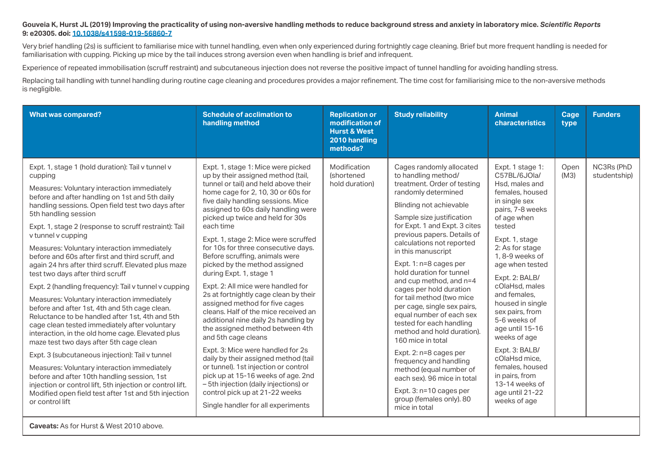#### **Gouveia K, Hurst JL (2019) Improving the practicality of using non-aversive handling methods to reduce background stress and anxiety in laboratory mice.** *Scientific Reports* **9: e20305. [doi: 10.1038/s41598-019-56860-7](https://doi.org/10.1038/s41598-019-56860-7)**

Very brief handling (2s) is sufficient to familiarise mice with tunnel handling, even when only experienced during fortnightly cage cleaning. Brief but more frequent handling is needed for familiarisation with cupping. Picking up mice by the tail induces strong aversion even when handling is brief and infrequent.

Experience of repeated immobilisation (scruff restraint) and subcutaneous injection does not reverse the positive impact of tunnel handling for avoiding handling stress.

Replacing tail handling with tunnel handling during routine cage cleaning and procedures provides a major refinement. The time cost for familiarising mice to the non-aversive methods is negligible.

| <b>What was compared?</b>                                                                                                                                                                                                                                                                                                                                                                                                                                                                                                                                                                                                                                                                                                                                                                                                                                                                                                                                                                                                                                                                                                                                                    | <b>Schedule of acclimation to</b><br>handling method                                                                                                                                                                                                                                                                                                                                                                                                                                                                                                                                                                                                                                                                                                                                                                                                                                                                                                                                                     | <b>Replication or</b><br>modification of<br><b>Hurst &amp; West</b><br>2010 handling<br>methods? | <b>Study reliability</b>                                                                                                                                                                                                                                                                                                                                                                                                                                                                                                                                                                                                                                                                                                                                    | <b>Animal</b><br>characteristics                                                                                                                                                                                                                                                                                                                                                                                                                                                          | Cage<br>type | <b>Funders</b>             |
|------------------------------------------------------------------------------------------------------------------------------------------------------------------------------------------------------------------------------------------------------------------------------------------------------------------------------------------------------------------------------------------------------------------------------------------------------------------------------------------------------------------------------------------------------------------------------------------------------------------------------------------------------------------------------------------------------------------------------------------------------------------------------------------------------------------------------------------------------------------------------------------------------------------------------------------------------------------------------------------------------------------------------------------------------------------------------------------------------------------------------------------------------------------------------|----------------------------------------------------------------------------------------------------------------------------------------------------------------------------------------------------------------------------------------------------------------------------------------------------------------------------------------------------------------------------------------------------------------------------------------------------------------------------------------------------------------------------------------------------------------------------------------------------------------------------------------------------------------------------------------------------------------------------------------------------------------------------------------------------------------------------------------------------------------------------------------------------------------------------------------------------------------------------------------------------------|--------------------------------------------------------------------------------------------------|-------------------------------------------------------------------------------------------------------------------------------------------------------------------------------------------------------------------------------------------------------------------------------------------------------------------------------------------------------------------------------------------------------------------------------------------------------------------------------------------------------------------------------------------------------------------------------------------------------------------------------------------------------------------------------------------------------------------------------------------------------------|-------------------------------------------------------------------------------------------------------------------------------------------------------------------------------------------------------------------------------------------------------------------------------------------------------------------------------------------------------------------------------------------------------------------------------------------------------------------------------------------|--------------|----------------------------|
| Expt. 1, stage 1 (hold duration): Tail v tunnel v<br>cupping<br>Measures: Voluntary interaction immediately<br>before and after handling on 1st and 5th daily<br>handling sessions. Open field test two days after<br>5th handling session<br>Expt. 1, stage 2 (response to scruff restraint): Tail<br>v tunnel v cupping<br>Measures: Voluntary interaction immediately<br>before and 60s after first and third scruff, and<br>again 24 hrs after third scruff. Elevated plus maze<br>test two days after third scruff<br>Expt. 2 (handling frequency): Tail v tunnel v cupping<br>Measures: Voluntary interaction immediately<br>before and after 1st, 4th and 5th cage clean.<br>Reluctance to be handled after 1st, 4th and 5th<br>cage clean tested immediately after voluntary<br>interaction, in the old home cage. Elevated plus<br>maze test two days after 5th cage clean<br>Expt. 3 (subcutaneous injection): Tail v tunnel<br>Measures: Voluntary interaction immediately<br>before and after 10th handling session, 1st<br>injection or control lift, 5th injection or control lift.<br>Modified open field test after 1st and 5th injection<br>or control lift | Expt. 1, stage 1: Mice were picked<br>up by their assigned method (tail,<br>tunnel or tail) and held above their<br>home cage for 2, 10, 30 or 60s for<br>five daily handling sessions. Mice<br>assigned to 60s daily handling were<br>picked up twice and held for 30s<br>each time<br>Expt. 1, stage 2: Mice were scruffed<br>for 10s for three consecutive days.<br>Before scruffing, animals were<br>picked by the method assigned<br>during Expt. 1, stage 1<br>Expt. 2: All mice were handled for<br>2s at fortnightly cage clean by their<br>assigned method for five cages<br>cleans. Half of the mice received an<br>additional nine daily 2s handling by<br>the assigned method between 4th<br>and 5th cage cleans<br>Expt. 3: Mice were handled for 2s<br>daily by their assigned method (tail<br>or tunnel). 1st injection or control<br>pick up at 15-16 weeks of age. 2nd<br>- 5th injection (daily injections) or<br>control pick up at 21-22 weeks<br>Single handler for all experiments | Modification<br><i>(shortened)</i><br>hold duration)                                             | Cages randomly allocated<br>to handling method/<br>treatment. Order of testing<br>randomly determined<br>Blinding not achievable<br>Sample size justification<br>for Expt. 1 and Expt. 3 cites<br>previous papers. Details of<br>calculations not reported<br>in this manuscript<br>Expt. 1: n=8 cages per<br>hold duration for tunnel<br>and cup method, and n=4<br>cages per hold duration<br>for tail method (two mice<br>per cage, single sex pairs,<br>equal number of each sex<br>tested for each handling<br>method and hold duration).<br>160 mice in total<br>Expt. 2: n=8 cages per<br>frequency and handling<br>method (equal number of<br>each sex). 96 mice in total<br>Expt. $3: n=10$ cages per<br>group (females only). 80<br>mice in total | Expt. 1 stage 1:<br>C57BL/6JOla/<br>Hsd, males and<br>females, housed<br>in single sex<br>pairs, 7-8 weeks<br>of age when<br>tested<br>Expt. 1, stage<br>2: As for stage<br>1, 8-9 weeks of<br>age when tested<br>Expt. 2: BALB/<br>cOlaHsd. males<br>and females.<br>housed in single<br>sex pairs, from<br>5-6 weeks of<br>age until 15-16<br>weeks of age<br>Expt. 3: BALB/<br>cOlaHsd mice.<br>females, housed<br>in pairs, from<br>13-14 weeks of<br>age until 21-22<br>weeks of age | Open<br>(M3) | NC3Rs (PhD<br>studentship) |

**Caveats:** As for Hurst & West 2010 above.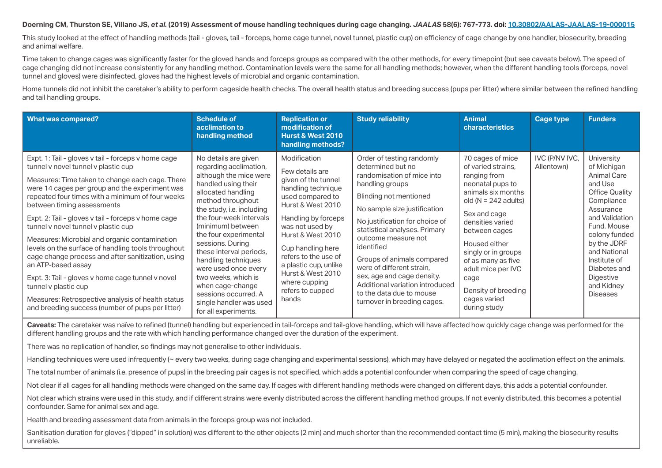#### **Doerning CM, Thurston SE, Villano JS,** *et al.* **(2019) Assessment of mouse handling techniques during cage changing.** *JAALAS* **58(6): 767-773. [doi: 10.30802/AALAS-JAALAS-19-000015](http://doi.org/10.30802/AALAS-JAALAS-19-000015)**

This study looked at the effect of handling methods (tail - gloves, tail - forceps, home cage tunnel, novel tunnel, plastic cup) on efficiency of cage change by one handler, biosecurity, breeding and animal welfare.

Time taken to change cages was significantly faster for the gloved hands and forceps groups as compared with the other methods, for every timepoint (but see caveats below). The speed of cage changing did not increase consistently for any handling method. Contamination levels were the same for all handling methods; however, when the different handling tools (forceps, novel tunnel and gloves) were disinfected, gloves had the highest levels of microbial and organic contamination.

Home tunnels did not inhibit the caretaker's ability to perform cageside health checks. The overall health status and breeding success (pups per litter) where similar between the refined handling and tail handling groups.

| <b>What was compared?</b>                                                                                                                                                                                                                                                                                                                                                                                                                                                                                                                                                                                                                                                                                                                               | <b>Schedule of</b><br>acclimation to<br>handling method                                                                                                                                                                                                                                                                                                                                                                                                              | <b>Replication or</b><br>modification of<br><b>Hurst &amp; West 2010</b><br>handling methods?                                                                                                                                                                                                                                 | <b>Study reliability</b>                                                                                                                                                                                                                                                                                                                                                                                                                                 | <b>Animal</b><br><b>characteristics</b>                                                                                                                                                                                                                                                                                            | Cage type                    | <b>Funders</b>                                                                                                                                                                                                                                                         |
|---------------------------------------------------------------------------------------------------------------------------------------------------------------------------------------------------------------------------------------------------------------------------------------------------------------------------------------------------------------------------------------------------------------------------------------------------------------------------------------------------------------------------------------------------------------------------------------------------------------------------------------------------------------------------------------------------------------------------------------------------------|----------------------------------------------------------------------------------------------------------------------------------------------------------------------------------------------------------------------------------------------------------------------------------------------------------------------------------------------------------------------------------------------------------------------------------------------------------------------|-------------------------------------------------------------------------------------------------------------------------------------------------------------------------------------------------------------------------------------------------------------------------------------------------------------------------------|----------------------------------------------------------------------------------------------------------------------------------------------------------------------------------------------------------------------------------------------------------------------------------------------------------------------------------------------------------------------------------------------------------------------------------------------------------|------------------------------------------------------------------------------------------------------------------------------------------------------------------------------------------------------------------------------------------------------------------------------------------------------------------------------------|------------------------------|------------------------------------------------------------------------------------------------------------------------------------------------------------------------------------------------------------------------------------------------------------------------|
| Expt. 1: Tail - gloves v tail - forceps v home cage<br>tunnel v novel tunnel v plastic cup<br>Measures: Time taken to change each cage. There<br>were 14 cages per group and the experiment was<br>repeated four times with a minimum of four weeks<br>between timing assessments<br>Expt. 2: Tail - gloves v tail - forceps v home cage<br>tunnel v novel tunnel v plastic cup<br>Measures: Microbial and organic contamination<br>levels on the surface of handling tools throughout<br>cage change process and after sanitization, using<br>an ATP-based assay<br>Expt. 3: Tail - gloves v home cage tunnel v novel<br>tunnel v plastic cup<br>Measures: Retrospective analysis of health status<br>and breeding success (number of pups per litter) | No details are given<br>regarding acclimation,<br>although the mice were<br>handled using their<br>allocated handling<br>method throughout<br>the study, i.e. including<br>the four-week intervals<br>(minimum) between<br>the four experimental<br>sessions. During<br>these interval periods,<br>handling techniques<br>were used once every<br>two weeks, which is<br>when cage-change<br>sessions occurred. A<br>single handler was used<br>for all experiments. | Modification<br>Few details are<br>given of the tunnel<br>handling technique<br>used compared to<br>Hurst & West 2010<br>Handling by forceps<br>was not used by<br>Hurst & West 2010<br>Cup handling here<br>refers to the use of<br>a plastic cup, unlike<br>Hurst & West 2010<br>where cupping<br>refers to cupped<br>hands | Order of testing randomly<br>determined but no<br>randomisation of mice into<br>handling groups<br>Blinding not mentioned<br>No sample size justification<br>No justification for choice of<br>statistical analyses. Primary<br>outcome measure not<br>identified<br>Groups of animals compared<br>were of different strain.<br>sex, age and cage density.<br>Additional variation introduced<br>to the data due to mouse<br>turnover in breeding cages. | 70 cages of mice<br>of varied strains.<br>ranging from<br>neonatal pups to<br>animals six months<br>old $(N = 242$ adults)<br>Sex and cage<br>densities varied<br>between cages<br>Housed either<br>singly or in groups<br>of as many as five<br>adult mice per IVC<br>cage<br>Density of breeding<br>cages varied<br>during study | IVC (P/NV IVC,<br>Allentown) | University<br>of Michigan<br>Animal Care<br>and Use<br><b>Office Quality</b><br>Compliance<br>Assurance<br>and Validation<br>Fund. Mouse<br>colony funded<br>by the JDRF<br>and National<br>Institute of<br>Diabetes and<br>Digestive<br>and Kidney<br><b>Diseases</b> |

**Caveats:** The caretaker was naïve to refined (tunnel) handling but experienced in tail-forceps and tail-glove handling, which will have affected how quickly cage change was performed for the different handling groups and the rate with which handling performance changed over the duration of the experiment.

There was no replication of handler, so findings may not generalise to other individuals.

Handling techniques were used infrequently (~ every two weeks, during cage changing and experimental sessions), which may have delayed or negated the acclimation effect on the animals.

The total number of animals (i.e. presence of pups) in the breeding pair cages is not specified, which adds a potential confounder when comparing the speed of cage changing.

Not clear if all cages for all handling methods were changed on the same day. If cages with different handling methods were changed on different days, this adds a potential confounder.

Not clear which strains were used in this study, and if different strains were evenly distributed across the different handling method groups. If not evenly distributed, this becomes a potential confounder. Same for animal sex and age.

Health and breeding assessment data from animals in the forceps group was not included.

Sanitisation duration for gloves ("dipped" in solution) was different to the other objects (2 min) and much shorter than the recommended contact time (5 min), making the biosecurity results unreliable.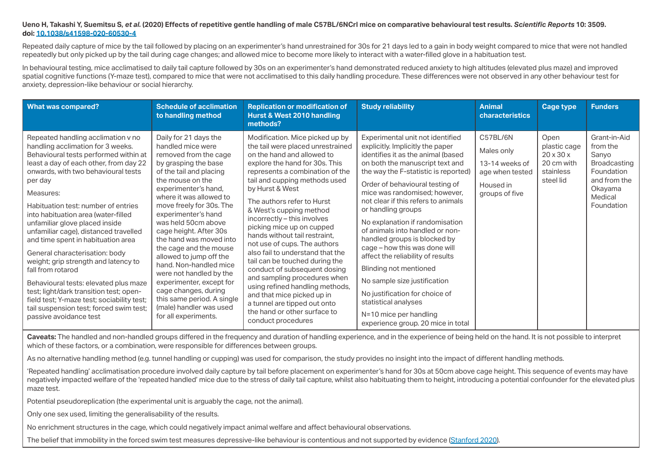#### **Ueno H, Takashi Y, Suemitsu S,** *et al.* **(2020) Effects of repetitive gentle handling of male C57BL/6NCrl mice on comparative behavioural test results.** *Scientific Reports* **10: 3509. [doi: 10.1038/s41598-020-60530-4](http://doi.org/10.1038/s41598-020-60530-4)**

Repeated daily capture of mice by the tail followed by placing on an experimenter's hand unrestrained for 30s for 21 days led to a gain in body weight compared to mice that were not handled repeatedly but only picked up by the tail during cage changes; and allowed mice to become more likely to interact with a water-filled glove in a habituation test.

In behavioural testing, mice acclimatised to daily tail capture followed by 30s on an experimenter's hand demonstrated reduced anxiety to high altitudes (elevated plus maze) and improved spatial cognitive functions (Y-maze test), compared to mice that were not acclimatised to this daily handling procedure. These differences were not observed in any other behaviour test for anxiety, depression-like behaviour or social hierarchy.

| <b>What was compared?</b>                                                                                                                                                                                                                                                                                                                                                                                                                                                                                                                                                                                                                                                                                                      | <b>Schedule of acclimation</b><br>to handling method                                                                                                                                                                                                                                                                                                                                                                                                                                                                                                                        | <b>Replication or modification of</b><br>Hurst & West 2010 handling<br>methods?                                                                                                                                                                                                                                                                                                                                                                                                                                                                                                                                                                                                                                | <b>Study reliability</b>                                                                                                                                                                                                                                                                                                                                                                                                                                                                                                                                                                                                                                                               | <b>Animal</b><br><b>characteristics</b>                                                    | <b>Cage type</b>                                                                      | <b>Funders</b>                                                                                                             |
|--------------------------------------------------------------------------------------------------------------------------------------------------------------------------------------------------------------------------------------------------------------------------------------------------------------------------------------------------------------------------------------------------------------------------------------------------------------------------------------------------------------------------------------------------------------------------------------------------------------------------------------------------------------------------------------------------------------------------------|-----------------------------------------------------------------------------------------------------------------------------------------------------------------------------------------------------------------------------------------------------------------------------------------------------------------------------------------------------------------------------------------------------------------------------------------------------------------------------------------------------------------------------------------------------------------------------|----------------------------------------------------------------------------------------------------------------------------------------------------------------------------------------------------------------------------------------------------------------------------------------------------------------------------------------------------------------------------------------------------------------------------------------------------------------------------------------------------------------------------------------------------------------------------------------------------------------------------------------------------------------------------------------------------------------|----------------------------------------------------------------------------------------------------------------------------------------------------------------------------------------------------------------------------------------------------------------------------------------------------------------------------------------------------------------------------------------------------------------------------------------------------------------------------------------------------------------------------------------------------------------------------------------------------------------------------------------------------------------------------------------|--------------------------------------------------------------------------------------------|---------------------------------------------------------------------------------------|----------------------------------------------------------------------------------------------------------------------------|
| Repeated handling acclimation v no<br>handling acclimation for 3 weeks.<br>Behavioural tests performed within at<br>least a day of each other, from day 22<br>onwards, with two behavioural tests<br>per day<br>Measures:<br>Habituation test: number of entries<br>into habituation area (water-filled<br>unfamiliar glove placed inside<br>unfamiliar cage), distanced travelled<br>and time spent in habituation area<br>General characterisation: body<br>weight; grip strength and latency to<br>fall from rotarod<br>Behavioural tests: elevated plus maze<br>test; light/dark transition test; open-<br>field test; Y-maze test; sociability test;<br>tail suspension test; forced swim test;<br>passive avoidance test | Daily for 21 days the<br>handled mice were<br>removed from the cage<br>by grasping the base<br>of the tail and placing<br>the mouse on the<br>experimenter's hand,<br>where it was allowed to<br>move freely for 30s. The<br>experimenter's hand<br>was held 50cm above<br>cage height. After 30s<br>the hand was moved into<br>the cage and the mouse<br>allowed to jump off the<br>hand. Non-handled mice<br>were not handled by the<br>experimenter, except for<br>cage changes, during<br>this same period. A single<br>(male) handler was used<br>for all experiments. | Modification. Mice picked up by<br>the tail were placed unrestrained<br>on the hand and allowed to<br>explore the hand for 30s. This<br>represents a combination of the<br>tail and cupping methods used<br>by Hurst & West<br>The authors refer to Hurst<br>& West's cupping method<br>incorrectly - this involves<br>picking mice up on cupped<br>hands without tail restraint.<br>not use of cups. The authors<br>also fail to understand that the<br>tail can be touched during the<br>conduct of subsequent dosing<br>and sampling procedures when<br>using refined handling methods,<br>and that mice picked up in<br>a tunnel are tipped out onto<br>the hand or other surface to<br>conduct procedures | Experimental unit not identified<br>explicitly. Implicitly the paper<br>identifies it as the animal (based<br>on both the manuscript text and<br>the way the F-statistic is reported)<br>Order of behavioural testing of<br>mice was randomised; however,<br>not clear if this refers to animals<br>or handling groups<br>No explanation if randomisation<br>of animals into handled or non-<br>handled groups is blocked by<br>cage - how this was done will<br>affect the reliability of results<br>Blinding not mentioned<br>No sample size justification<br>No justification for choice of<br>statistical analyses<br>N=10 mice per handling<br>experience group. 20 mice in total | C57BL/6N<br>Males only<br>13-14 weeks of<br>age when tested<br>Housed in<br>groups of five | Open<br>plastic cage<br>$20 \times 30 \times$<br>20 cm with<br>stainless<br>steel lid | Grant-in-Aid<br>from the<br>Sanyo<br><b>Broadcasting</b><br>Foundation<br>and from the<br>Okayama<br>Medical<br>Foundation |

Caveats: The handled and non-handled groups differed in the frequency and duration of handling experience, and in the experience of being held on the hand. It is not possible to interpret which of these factors, or a combination, were responsible for differences between groups.

As no alternative handling method (e.g. tunnel handling or cupping) was used for comparison, the study provides no insight into the impact of different handling methods.

'Repeated handling' acclimatisation procedure involved daily capture by tail before placement on experimenter's hand for 30s at 50cm above cage height. This sequence of events may have negatively impacted welfare of the 'repeated handled' mice due to the stress of daily tail capture, whilst also habituating them to height, introducing a potential confounder for the elevated plus maze test.

Potential pseudoreplication (the experimental unit is arguably the cage, not the animal).

Only one sex used, limiting the generalisability of the results.

No enrichment structures in the cage, which could negatively impact animal welfare and affect behavioural observations.

The belief that immobility in the forced swim test measures depressive-like behaviour is contentious and not supported by evidence [\(Stanford 2020\)](https://doi.org/10.1177/0261192920939876).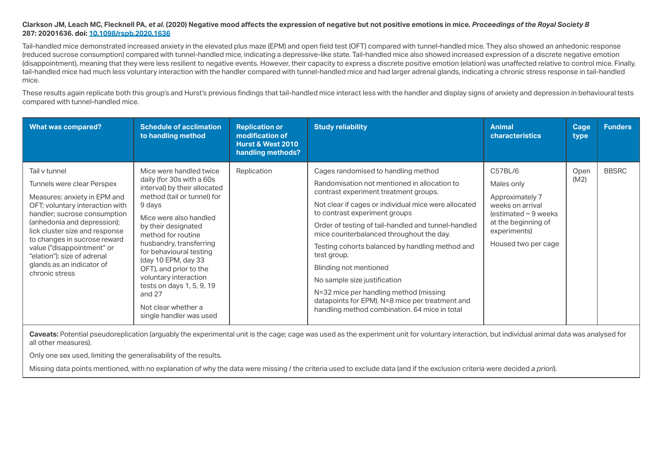#### **Clarkson JM, Leach MC, Flecknell PA,** *et al.* **(2020) Negative mood affects the expression of negative but not positive emotions in mice.** *Proceedings of the Royal Society B* **287: 20201636. [doi: 10.1098/rspb.2020.1636](http://doi.org/10.1098/rspb.2020.1636)**

Tail-handled mice demonstrated increased anxiety in the elevated plus maze (EPM) and open field test (OFT) compared with tunnel-handled mice. They also showed an anhedonic response (reduced sucrose consumption) compared with tunnel-handled mice, indicating a depressive-like state. Tail-handled mice also showed increased expression of a discrete negative emotion (disappointment), meaning that they were less resilient to negative events. However, their capacity to express a discrete positive emotion (elation) was unaffected relative to control mice. Finally, tail-handled mice had much less voluntary interaction with the handler compared with tunnel-handled mice and had larger adrenal glands, indicating a chronic stress response in tail-handled mice.

These results again replicate both this group's and Hurst's previous findings that tail-handled mice interact less with the handler and display signs of anxiety and depression in behavioural tests compared with tunnel-handled mice.

| <b>What was compared?</b>                                                                                                                                                                                                                                                                                                                                   | <b>Schedule of acclimation</b><br>to handling method                                                                                                                                                                                                                                                                                                                                                                            | <b>Replication or</b><br>modification of<br><b>Hurst &amp; West 2010</b><br>handling methods? | <b>Study reliability</b>                                                                                                                                                                                                                                                                                                                                                                                                                                                                                                                                                                           | <b>Animal</b><br><b>characteristics</b>                                                                                                                 | Cage<br>type | <b>Funders</b> |
|-------------------------------------------------------------------------------------------------------------------------------------------------------------------------------------------------------------------------------------------------------------------------------------------------------------------------------------------------------------|---------------------------------------------------------------------------------------------------------------------------------------------------------------------------------------------------------------------------------------------------------------------------------------------------------------------------------------------------------------------------------------------------------------------------------|-----------------------------------------------------------------------------------------------|----------------------------------------------------------------------------------------------------------------------------------------------------------------------------------------------------------------------------------------------------------------------------------------------------------------------------------------------------------------------------------------------------------------------------------------------------------------------------------------------------------------------------------------------------------------------------------------------------|---------------------------------------------------------------------------------------------------------------------------------------------------------|--------------|----------------|
| Tail v tunnel<br>Tunnels were clear Perspex<br>Measures: anxiety in EPM and<br>OFT; voluntary interaction with<br>handler; sucrose consumption<br>(anhedonia and depression);<br>lick cluster size and response<br>to changes in sucrose reward<br>value ("disappointment" or<br>"elation"); size of adrenal<br>glands as an indicator of<br>chronic stress | Mice were handled twice<br>daily (for 30s with a 60s<br>interval) by their allocated<br>method (tail or tunnel) for<br>9 days<br>Mice were also handled<br>by their designated<br>method for routine<br>husbandry, transferring<br>for behavioural testing<br>(day 10 EPM, day 33<br>OFT), and prior to the<br>voluntary interaction<br>tests on days 1, 5, 9, 19<br>and $27$<br>Not clear whether a<br>single handler was used | Replication                                                                                   | Cages randomised to handling method<br>Randomisation not mentioned in allocation to<br>contrast experiment treatment groups.<br>Not clear if cages or individual mice were allocated<br>to contrast experiment groups<br>Order of testing of tail-handled and tunnel-handled<br>mice counterbalanced throughout the day.<br>Testing cohorts balanced by handling method and<br>test group.<br>Blinding not mentioned<br>No sample size justification<br>N=32 mice per handling method (missing<br>datapoints for EPM). N=8 mice per treatment and<br>handling method combination. 64 mice in total | C57BL/6<br>Males only<br>Approximately 7<br>weeks on arrival<br>(estimated $\sim$ 9 weeks<br>at the beginning of<br>experiments)<br>Housed two per cage | Open<br>(M2) | <b>BBSRC</b>   |

Caveats: Potential pseudoreplication (arguably the experimental unit is the cage; cage was used as the experiment unit for voluntary interaction, but individual animal data was analysed for all other measures).

Only one sex used, limiting the generalisability of the results.

Missing data points mentioned, with no explanation of why the data were missing / the criteria used to exclude data (and if the exclusion criteria were decided *a priori*).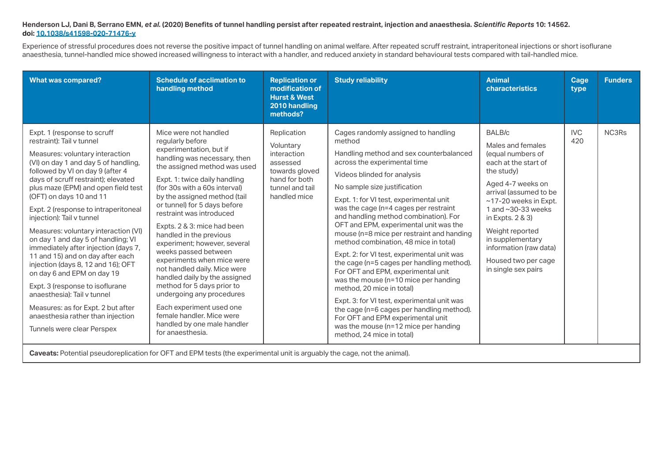# **Henderson LJ, Dani B, Serrano EMN,** *et al.* **(2020) Benefits of tunnel handling persist after repeated restraint, injection and anaesthesia.** *Scientific Reports* **10: 14562. [doi: 10.1038/s41598-020-71476-y](http://doi.org/10.1038/s41598-020-71476-y )**

Experience of stressful procedures does not reverse the positive impact of tunnel handling on animal welfare. After repeated scruff restraint, intraperitoneal injections or short isoflurane anaesthesia, tunnel-handled mice showed increased willingness to interact with a handler, and reduced anxiety in standard behavioural tests compared with tail-handled mice.

| <b>What was compared?</b>                                                                                                                                                                                                                                                                                                                                                                                                                                                                                                                                                                                                                                                                                                                                      | <b>Schedule of acclimation to</b><br>handling method                                                                                                                                                                                                                                                                                                                                                                                                                                                                                                                                                                                                                                       | <b>Replication or</b><br>modification of<br><b>Hurst &amp; West</b><br>2010 handling<br>methods?                          | <b>Study reliability</b>                                                                                                                                                                                                                                                                                                                                                                                                                                                                                                                                                                                                                                                                                                                                                                                                                                          | <b>Animal</b><br>characteristics                                                                                                                                                                                                                                                                                               | Cage<br>type      | <b>Funders</b> |
|----------------------------------------------------------------------------------------------------------------------------------------------------------------------------------------------------------------------------------------------------------------------------------------------------------------------------------------------------------------------------------------------------------------------------------------------------------------------------------------------------------------------------------------------------------------------------------------------------------------------------------------------------------------------------------------------------------------------------------------------------------------|--------------------------------------------------------------------------------------------------------------------------------------------------------------------------------------------------------------------------------------------------------------------------------------------------------------------------------------------------------------------------------------------------------------------------------------------------------------------------------------------------------------------------------------------------------------------------------------------------------------------------------------------------------------------------------------------|---------------------------------------------------------------------------------------------------------------------------|-------------------------------------------------------------------------------------------------------------------------------------------------------------------------------------------------------------------------------------------------------------------------------------------------------------------------------------------------------------------------------------------------------------------------------------------------------------------------------------------------------------------------------------------------------------------------------------------------------------------------------------------------------------------------------------------------------------------------------------------------------------------------------------------------------------------------------------------------------------------|--------------------------------------------------------------------------------------------------------------------------------------------------------------------------------------------------------------------------------------------------------------------------------------------------------------------------------|-------------------|----------------|
| Expt. 1 (response to scruff<br>restraint): Tail v tunnel<br>Measures: voluntary interaction<br>(VI) on day 1 and day 5 of handling,<br>followed by VI on day 9 (after 4<br>days of scruff restraint); elevated<br>plus maze (EPM) and open field test<br>(OFT) on days 10 and 11<br>Expt. 2 (response to intraperitoneal<br>injection): Tail v tunnel<br>Measures: voluntary interaction (VI)<br>on day 1 and day 5 of handling; VI<br>immediately after injection (days 7,<br>11 and 15) and on day after each<br>injection (days 8, 12 and 16); OFT<br>on day 6 and EPM on day 19<br>Expt. 3 (response to isoflurane<br>anaesthesia): Tail v tunnel<br>Measures: as for Expt. 2 but after<br>anaesthesia rather than injection<br>Tunnels were clear Perspex | Mice were not handled<br>regularly before<br>experimentation, but if<br>handling was necessary, then<br>the assigned method was used<br>Expt. 1: twice daily handling<br>(for 30s with a 60s interval)<br>by the assigned method (tail<br>or tunnel) for 5 days before<br>restraint was introduced<br>Expts. 2 & 3: mice had been<br>handled in the previous<br>experiment; however, several<br>weeks passed between<br>experiments when mice were<br>not handled daily. Mice were<br>handled daily by the assigned<br>method for 5 days prior to<br>undergoing any procedures<br>Each experiment used one<br>female handler. Mice were<br>handled by one male handler<br>for anaesthesia. | Replication<br>Voluntary<br>interaction<br>assessed<br>towards gloved<br>hand for both<br>tunnel and tail<br>handled mice | Cages randomly assigned to handling<br>method<br>Handling method and sex counterbalanced<br>across the experimental time<br>Videos blinded for analysis<br>No sample size justification<br>Expt. 1: for VI test, experimental unit<br>was the cage (n=4 cages per restraint<br>and handling method combination). For<br>OFT and EPM, experimental unit was the<br>mouse (n=8 mice per restraint and handing<br>method combination, 48 mice in total)<br>Expt. 2: for VI test, experimental unit was<br>the cage (n=5 cages per handling method).<br>For OFT and EPM, experimental unit<br>was the mouse (n=10 mice per handing<br>method, 20 mice in total)<br>Expt. 3: for VI test, experimental unit was<br>the cage (n=6 cages per handling method).<br>For OFT and EPM experimental unit<br>was the mouse (n=12 mice per handing<br>method, 24 mice in total) | <b>BALB/c</b><br>Males and females<br>(equal numbers of<br>each at the start of<br>the study)<br>Aged 4-7 weeks on<br>arrival (assumed to be<br>~17-20 weeks in Expt.<br>1 and ~30-33 weeks<br>in Expts. 2 & 3)<br>Weight reported<br>in supplementary<br>information (raw data)<br>Housed two per cage<br>in single sex pairs | <b>IVC</b><br>420 | NC3Rs          |
| Caveats: Potential pseudoreplication for OFT and EPM tests (the experimental unit is arguably the cage, not the animal).                                                                                                                                                                                                                                                                                                                                                                                                                                                                                                                                                                                                                                       |                                                                                                                                                                                                                                                                                                                                                                                                                                                                                                                                                                                                                                                                                            |                                                                                                                           |                                                                                                                                                                                                                                                                                                                                                                                                                                                                                                                                                                                                                                                                                                                                                                                                                                                                   |                                                                                                                                                                                                                                                                                                                                |                   |                |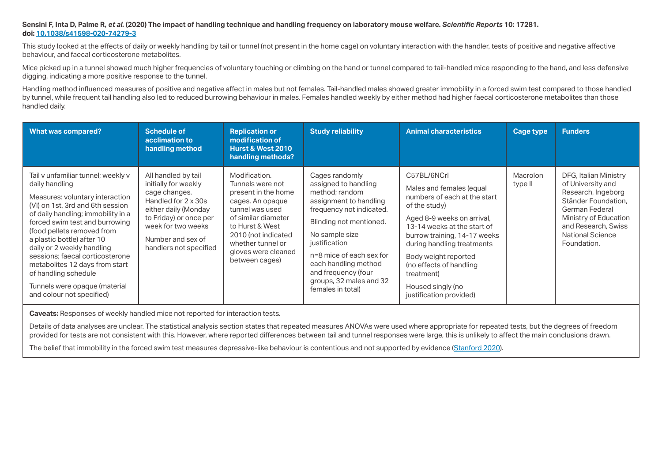#### **Sensini F, Inta D, Palme R,** *et al.* **(2020) The impact of handling technique and handling frequency on laboratory mouse welfare.** *Scientific Reports* **10: 17281. [doi: 10.1038/s41598-020-74279-3](https://doi.org/10.1038/s41598-020-74279-3)**

This study looked at the effects of daily or weekly handling by tail or tunnel (not present in the home cage) on voluntary interaction with the handler, tests of positive and negative affective behaviour, and faecal corticosterone metabolites.

Mice picked up in a tunnel showed much higher frequencies of voluntary touching or climbing on the hand or tunnel compared to tail-handled mice responding to the hand, and less defensive digging, indicating a more positive response to the tunnel.

Handling method influenced measures of positive and negative affect in males but not females. Tail-handled males showed greater immobility in a forced swim test compared to those handled by tunnel, while frequent tail handling also led to reduced burrowing behaviour in males. Females handled weekly by either method had higher faecal corticosterone metabolites than those handled daily.

| <b>What was compared?</b>                                                                                                                                                                                                                                                                                                                                                                                                                                | <b>Schedule of</b><br>acclimation to<br>handling method                                                                                                                                                    | <b>Replication or</b><br>modification of<br><b>Hurst &amp; West 2010</b><br>handling methods?                                                                                                                                  | <b>Study reliability</b>                                                                                                                                                                                                                                                                                | <b>Animal characteristics</b>                                                                                                                                                                                                                                                                                                        | Cage type                  | <b>Funders</b>                                                                                                                                                                                      |
|----------------------------------------------------------------------------------------------------------------------------------------------------------------------------------------------------------------------------------------------------------------------------------------------------------------------------------------------------------------------------------------------------------------------------------------------------------|------------------------------------------------------------------------------------------------------------------------------------------------------------------------------------------------------------|--------------------------------------------------------------------------------------------------------------------------------------------------------------------------------------------------------------------------------|---------------------------------------------------------------------------------------------------------------------------------------------------------------------------------------------------------------------------------------------------------------------------------------------------------|--------------------------------------------------------------------------------------------------------------------------------------------------------------------------------------------------------------------------------------------------------------------------------------------------------------------------------------|----------------------------|-----------------------------------------------------------------------------------------------------------------------------------------------------------------------------------------------------|
| Tail v unfamiliar tunnel; weekly v<br>daily handling<br>Measures: voluntary interaction<br>(VI) on 1st, 3rd and 6th session<br>of daily handling; immobility in a<br>forced swim test and burrowing<br>(food pellets removed from<br>a plastic bottle) after 10<br>daily or 2 weekly handling<br>sessions; faecal corticosterone<br>metabolites 12 days from start<br>of handling schedule<br>Tunnels were opaque (material<br>and colour not specified) | All handled by tail<br>initially for weekly<br>cage changes.<br>Handled for 2 x 30s<br>either daily (Monday<br>to Friday) or once per<br>week for two weeks<br>Number and sex of<br>handlers not specified | Modification.<br>Tunnels were not<br>present in the home<br>cages. An opaque<br>tunnel was used<br>of similar diameter<br>to Hurst & West<br>2010 (not indicated<br>whether tunnel or<br>gloves were cleaned<br>between cages) | Cages randomly<br>assigned to handling<br>method; random<br>assignment to handling<br>frequency not indicated.<br>Blinding not mentioned.<br>No sample size<br>justification<br>n=8 mice of each sex for<br>each handling method<br>and frequency (four<br>groups, 32 males and 32<br>females in total) | C57BL/6NCrl<br>Males and females (equal<br>numbers of each at the start<br>of the study)<br>Aged 8-9 weeks on arrival,<br>13-14 weeks at the start of<br>burrow training, 14-17 weeks<br>during handling treatments<br>Body weight reported<br>(no effects of handling<br>treatment)<br>Housed singly (no<br>justification provided) | <b>Macrolon</b><br>type II | DFG, Italian Ministry<br>of University and<br>Research, Ingeborg<br>Ständer Foundation.<br>German Federal<br>Ministry of Education<br>and Research, Swiss<br><b>National Science</b><br>Foundation. |

**Caveats:** Responses of weekly handled mice not reported for interaction tests.

Details of data analyses are unclear. The statistical analysis section states that repeated measures ANOVAs were used where appropriate for repeated tests, but the degrees of freedom provided for tests are not consistent with this. However, where reported differences between tail and tunnel responses were large, this is unlikely to affect the main conclusions drawn.

The belief that immobility in the forced swim test measures depressive-like behaviour is contentious and not supported by evidence [\(Stanford 2020\)](https://doi.org/10.1177/0261192920939876).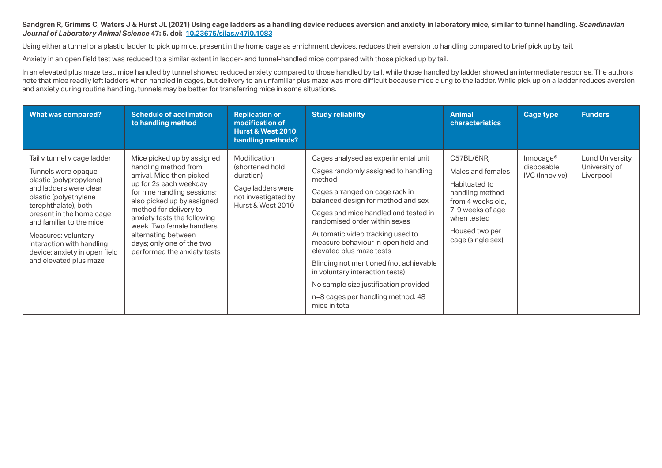#### Sandgren R, Grimms C, Waters J & Hurst JL (2021) Using cage ladders as a handling device reduces aversion and anxiety in laboratory mice, similar to tunnel handling, Scandinavian *Journal of Laboratory Animal Science* **47: 5. doi: [10.23675/sjlas.v47i0.1083](https://doi.org/10.23675/sjlas.v47i0.1083)**

Using either a tunnel or a plastic ladder to pick up mice, present in the home cage as enrichment devices, reduces their aversion to handling compared to brief pick up by tail.

Anxiety in an open field test was reduced to a similar extent in ladder- and tunnel-handled mice compared with those picked up by tail.

In an elevated plus maze test, mice handled by tunnel showed reduced anxiety compared to those handled by tail, while those handled by ladder showed an intermediate response. The authors note that mice readily left ladders when handled in cages, but delivery to an unfamiliar plus maze was more difficult because mice clung to the ladder. While pick up on a ladder reduces aversion and anxiety during routine handling, tunnels may be better for transferring mice in some situations.

| <b>What was compared?</b>                                                                                                                                                                                                                                                                                                       | <b>Schedule of acclimation</b><br>to handling method                                                                                                                                                                                                                                                                                            | <b>Replication or</b><br>modification of<br><b>Hurst &amp; West 2010</b><br>handling methods?                 | <b>Study reliability</b>                                                                                                                                                                                                                                                                                                                                                                                                                                                                                                 | <b>Animal</b><br><b>characteristics</b>                                                                                                                            | <b>Cage type</b>                                             | <b>Funders</b>                                 |
|---------------------------------------------------------------------------------------------------------------------------------------------------------------------------------------------------------------------------------------------------------------------------------------------------------------------------------|-------------------------------------------------------------------------------------------------------------------------------------------------------------------------------------------------------------------------------------------------------------------------------------------------------------------------------------------------|---------------------------------------------------------------------------------------------------------------|--------------------------------------------------------------------------------------------------------------------------------------------------------------------------------------------------------------------------------------------------------------------------------------------------------------------------------------------------------------------------------------------------------------------------------------------------------------------------------------------------------------------------|--------------------------------------------------------------------------------------------------------------------------------------------------------------------|--------------------------------------------------------------|------------------------------------------------|
| Tail v tunnel v cage ladder<br>Tunnels were opaque<br>plastic (polypropylene)<br>and ladders were clear<br>plastic (polyethylene<br>terephthalate), both<br>present in the home cage<br>and familiar to the mice<br>Measures: voluntary<br>interaction with handling<br>device; anxiety in open field<br>and elevated plus maze | Mice picked up by assigned<br>handling method from<br>arrival. Mice then picked<br>up for 2s each weekday<br>for nine handling sessions;<br>also picked up by assigned<br>method for delivery to<br>anxiety tests the following<br>week. Two female handlers<br>alternating between<br>days; only one of the two<br>performed the anxiety tests | Modification<br>(shortened hold<br>duration)<br>Cage ladders were<br>not investigated by<br>Hurst & West 2010 | Cages analysed as experimental unit<br>Cages randomly assigned to handling<br>method<br>Cages arranged on cage rack in<br>balanced design for method and sex<br>Cages and mice handled and tested in<br>randomised order within sexes<br>Automatic video tracking used to<br>measure behaviour in open field and<br>elevated plus maze tests<br>Blinding not mentioned (not achievable<br>in voluntary interaction tests)<br>No sample size justification provided<br>n=8 cages per handling method. 48<br>mice in total | C57BL/6NRj<br>Males and females<br>Habituated to<br>handling method<br>from 4 weeks old.<br>7-9 weeks of age<br>when tested<br>Housed two per<br>cage (single sex) | Innocage <sup>®</sup><br>disposable<br><b>IVC</b> (Innovive) | Lund University,<br>University of<br>Liverpool |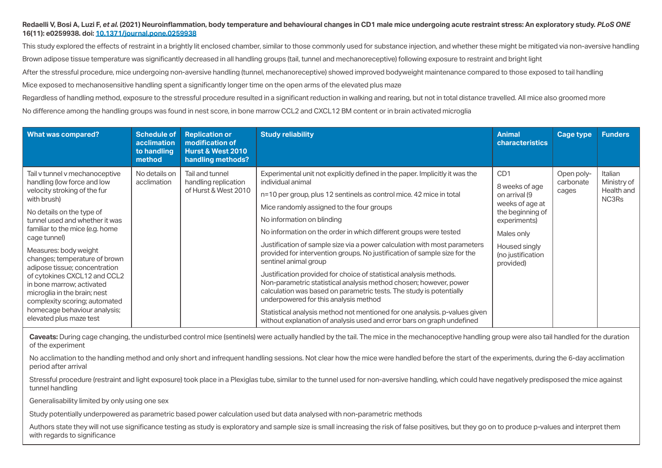# **Redaelli V, Bosi A, Luzi F,** *et al.* **(2021) Neuroinflammation, body temperature and behavioural changes in CD1 male mice undergoing acute restraint stress: An exploratory study.** *PLoS ONE*  **16(11): e0259938. doi: [10.1371/journal.pone.0259938](http://doi.org/10.1371/journal.pone.0259938)**

This study explored the effects of restraint in a brightly lit enclosed chamber, similar to those commonly used for substance injection, and whether these might be mitigated via non-aversive handling Brown adipose tissue temperature was significantly decreased in all handling groups (tail, tunnel and mechanoreceptive) following exposure to restraint and bright light After the stressful procedure, mice undergoing non-aversive handling (tunnel, mechanoreceptive) showed improved bodyweight maintenance compared to those exposed to tail handling

Mice exposed to mechanosensitive handling spent a significantly longer time on the open arms of the elevated plus maze

Regardless of handling method, exposure to the stressful procedure resulted in a significant reduction in walking and rearing, but not in total distance travelled. All mice also groomed more No difference among the handling groups was found in nest score, in bone marrow CCL2 and CXCL12 BM content or in brain activated microglia

| <b>What was compared?</b>                                                                                                                                                                                                                                                                                                                                                                                                                                                                                          | <b>Schedule of</b><br><b>acclimation</b><br>to handling<br>method | <b>Replication or</b><br>modification of<br><b>Hurst &amp; West 2010</b><br>handling methods? | <b>Study reliability</b>                                                                                                                                                                                                                                                                                                                                                                                                                                                                                                                                                                                                                                                                                                                                                                                                                                                                                                       | <b>Animal</b><br>characteristics                                                                                                                                            | Cage type                        | <b>Funders</b>                                |
|--------------------------------------------------------------------------------------------------------------------------------------------------------------------------------------------------------------------------------------------------------------------------------------------------------------------------------------------------------------------------------------------------------------------------------------------------------------------------------------------------------------------|-------------------------------------------------------------------|-----------------------------------------------------------------------------------------------|--------------------------------------------------------------------------------------------------------------------------------------------------------------------------------------------------------------------------------------------------------------------------------------------------------------------------------------------------------------------------------------------------------------------------------------------------------------------------------------------------------------------------------------------------------------------------------------------------------------------------------------------------------------------------------------------------------------------------------------------------------------------------------------------------------------------------------------------------------------------------------------------------------------------------------|-----------------------------------------------------------------------------------------------------------------------------------------------------------------------------|----------------------------------|-----------------------------------------------|
| Tail v tunnel v mechanoceptive<br>handling (low force and low<br>velocity stroking of the fur<br>with brush)<br>No details on the type of<br>tunnel used and whether it was<br>familiar to the mice (e.g. home<br>cage tunnel)<br>Measures: body weight<br>changes; temperature of brown<br>adipose tissue; concentration<br>of cytokines CXCL12 and CCL2<br>in bone marrow; activated<br>microglia in the brain; nest<br>complexity scoring; automated<br>homecage behaviour analysis;<br>elevated plus maze test | No details on<br>acclimation                                      | Tail and tunnel<br>handling replication<br>of Hurst & West 2010                               | Experimental unit not explicitly defined in the paper. Implicitly it was the<br>individual animal<br>n=10 per group, plus 12 sentinels as control mice. 42 mice in total<br>Mice randomly assigned to the four groups<br>No information on blinding<br>No information on the order in which different groups were tested<br>Justification of sample size via a power calculation with most parameters<br>provided for intervention groups. No justification of sample size for the<br>sentinel animal group<br>Justification provided for choice of statistical analysis methods.<br>Non-parametric statistical analysis method chosen; however, power<br>calculation was based on parametric tests. The study is potentially<br>underpowered for this analysis method<br>Statistical analysis method not mentioned for one analysis. p-values given<br>without explanation of analysis used and error bars on graph undefined | C <sub>D</sub> 1<br>8 weeks of age<br>on arrival (9<br>weeks of age at<br>the beginning of<br>experiments)<br>Males only<br>Housed singly<br>(no justification<br>provided) | Open poly-<br>carbonate<br>cages | Italian<br>Ministry of<br>Health and<br>NC3Rs |

Caveats: During cage changing, the undisturbed control mice (sentinels) were actually handled by the tail. The mice in the mechanoceptive handling group were also tail handled for the duration of the experiment

No acclimation to the handling method and only short and infrequent handling sessions. Not clear how the mice were handled before the start of the experiments, during the 6-day acclimation period after arrival

Stressful procedure (restraint and light exposure) took place in a Plexiglas tube, similar to the tunnel used for non-aversive handling, which could have negatively predisposed the mice against tunnel handling

Generalisability limited by only using one sex

Study potentially underpowered as parametric based power calculation used but data analysed with non-parametric methods

Authors state they will not use significance testing as study is exploratory and sample size is small increasing the risk of false positives, but they go on to produce p-values and interpret them with regards to significance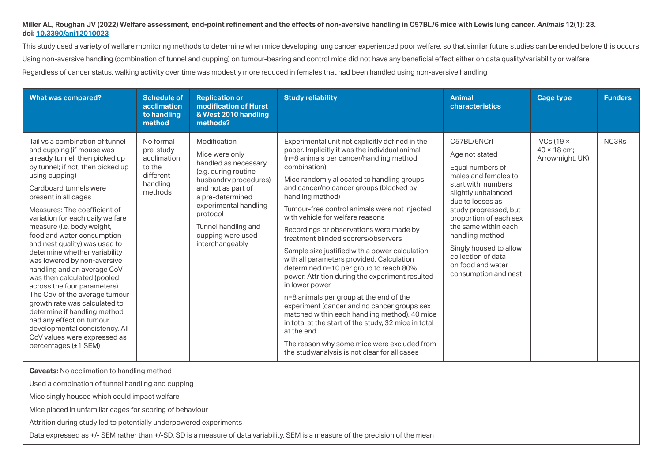# **Miller AL, Roughan JV (2022) Welfare assessment, end-point refinement and the effects of non-aversive handling in C57BL/6 mice with Lewis lung cancer.** *Animals* **12(1): 23. doi: [10.3390/ani12010023](http://doi.org/10.3390/ani12010023)**

This study used a variety of welfare monitoring methods to determine when mice developing lung cancer experienced poor welfare, so that similar future studies can be ended before this occurs Using non-aversive handling (combination of tunnel and cupping) on tumour-bearing and control mice did not have any beneficial effect either on data quality/variability or welfare Regardless of cancer status, walking activity over time was modestly more reduced in females that had been handled using non-aversive handling

| <b>What was compared?</b>                                                                                                                                                                                                                                                                                                                                                                                                                                                                                                                                                                                                                                                                                                                                      | <b>Schedule of</b><br>acclimation<br>to handling<br>method                          | <b>Replication or</b><br>modification of Hurst<br>& West 2010 handling<br>methods?                                                                                                                                                                    | <b>Study reliability</b>                                                                                                                                                                                                                                                                                                                                                                                                                                                                                                                                                                                                                                                                                                                                                                                                                                                                                                                                                        | <b>Animal</b><br>characteristics                                                                                                                                                                                                                                                                                                       | <b>Cage type</b>                                           | <b>Funders</b> |
|----------------------------------------------------------------------------------------------------------------------------------------------------------------------------------------------------------------------------------------------------------------------------------------------------------------------------------------------------------------------------------------------------------------------------------------------------------------------------------------------------------------------------------------------------------------------------------------------------------------------------------------------------------------------------------------------------------------------------------------------------------------|-------------------------------------------------------------------------------------|-------------------------------------------------------------------------------------------------------------------------------------------------------------------------------------------------------------------------------------------------------|---------------------------------------------------------------------------------------------------------------------------------------------------------------------------------------------------------------------------------------------------------------------------------------------------------------------------------------------------------------------------------------------------------------------------------------------------------------------------------------------------------------------------------------------------------------------------------------------------------------------------------------------------------------------------------------------------------------------------------------------------------------------------------------------------------------------------------------------------------------------------------------------------------------------------------------------------------------------------------|----------------------------------------------------------------------------------------------------------------------------------------------------------------------------------------------------------------------------------------------------------------------------------------------------------------------------------------|------------------------------------------------------------|----------------|
| Tail vs a combination of tunnel<br>and cupping (if mouse was<br>already tunnel, then picked up<br>by tunnel; if not, then picked up<br>using cupping)<br>Cardboard tunnels were<br>present in all cages<br>Measures: The coefficient of<br>variation for each daily welfare<br>measure (i.e. body weight,<br>food and water consumption<br>and nest quality) was used to<br>determine whether variability<br>was lowered by non-aversive<br>handling and an average CoV<br>was then calculated (pooled<br>across the four parameters).<br>The CoV of the average tumour<br>growth rate was calculated to<br>determine if handling method<br>had any effect on tumour<br>developmental consistency. All<br>CoV values were expressed as<br>percentages (±1 SEM) | No formal<br>pre-study<br>acclimation<br>to the<br>different<br>handling<br>methods | Modification<br>Mice were only<br>handled as necessary<br>(e.g. during routine<br>husbandry procedures)<br>and not as part of<br>a pre-determined<br>experimental handling<br>protocol<br>Tunnel handling and<br>cupping were used<br>interchangeably | Experimental unit not explicitly defined in the<br>paper. Implicitly it was the individual animal<br>(n=8 animals per cancer/handling method<br>combination)<br>Mice randomly allocated to handling groups<br>and cancer/no cancer groups (blocked by<br>handling method)<br>Tumour-free control animals were not injected<br>with vehicle for welfare reasons<br>Recordings or observations were made by<br>treatment blinded scorers/observers<br>Sample size justified with a power calculation<br>with all parameters provided. Calculation<br>determined n=10 per group to reach 80%<br>power. Attrition during the experiment resulted<br>in lower power<br>n=8 animals per group at the end of the<br>experiment (cancer and no cancer groups sex<br>matched within each handling method). 40 mice<br>in total at the start of the study, 32 mice in total<br>at the end<br>The reason why some mice were excluded from<br>the study/analysis is not clear for all cases | C57BL/6NCrl<br>Age not stated<br>Equal numbers of<br>males and females to<br>start with; numbers<br>slightly unbalanced<br>due to losses as<br>study progressed, but<br>proportion of each sex<br>the same within each<br>handling method<br>Singly housed to allow<br>collection of data<br>on food and water<br>consumption and nest | IVCs (19 $\times$<br>$40 \times 18$ cm:<br>Arrowmight, UK) | NC3Rs          |

**Caveats:** No acclimation to handling method

Used a combination of tunnel handling and cupping

Mice singly housed which could impact welfare

Mice placed in unfamiliar cages for scoring of behaviour

Attrition during study led to potentially underpowered experiments

Data expressed as +/- SEM rather than +/-SD. SD is a measure of data variability, SEM is a measure of the precision of the mean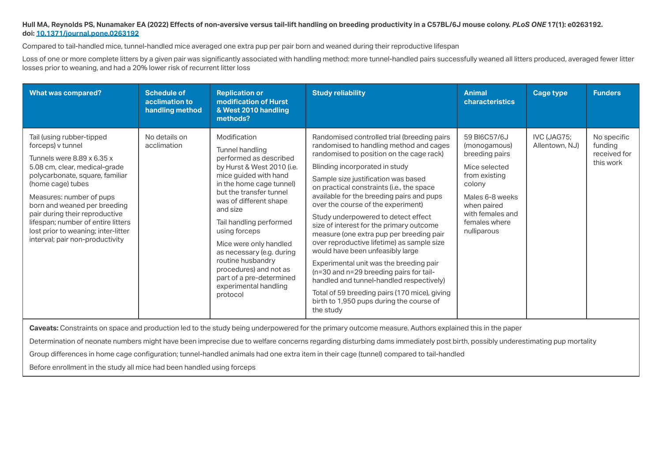### **Hull MA, Reynolds PS, Nunamaker EA (2022) Effects of non-aversive versus tail-lift handling on breeding productivity in a C57BL/6J mouse colony.** *PLoS ONE* **17(1): e0263192. doi: [10.1371/journal.pone.0263192](http://doi.org/10.1371/journal.pone.0263192)**

Compared to tail-handled mice, tunnel-handled mice averaged one extra pup per pair born and weaned during their reproductive lifespan

Loss of one or more complete litters by a given pair was significantly associated with handling method: more tunnel-handled pairs successfully weaned all litters produced, averaged fewer litter losses prior to weaning, and had a 20% lower risk of recurrent litter loss

| <b>What was compared?</b>                                                                                                                                                                                                                                                                                                                                                           | <b>Schedule of</b><br>acclimation to<br>handling method | <b>Replication or</b><br>modification of Hurst<br>& West 2010 handling<br>methods?                                                                                                                                                                                                                                                                                                                                               | <b>Study reliability</b>                                                                                                                                                                                                                                                                                                                                                                                                                                                                                                                                                                                                                                                                                                                                                                                 | <b>Animal</b><br><b>characteristics</b>                                                                                                                                          | <b>Cage type</b>              | <b>Funders</b>                                      |
|-------------------------------------------------------------------------------------------------------------------------------------------------------------------------------------------------------------------------------------------------------------------------------------------------------------------------------------------------------------------------------------|---------------------------------------------------------|----------------------------------------------------------------------------------------------------------------------------------------------------------------------------------------------------------------------------------------------------------------------------------------------------------------------------------------------------------------------------------------------------------------------------------|----------------------------------------------------------------------------------------------------------------------------------------------------------------------------------------------------------------------------------------------------------------------------------------------------------------------------------------------------------------------------------------------------------------------------------------------------------------------------------------------------------------------------------------------------------------------------------------------------------------------------------------------------------------------------------------------------------------------------------------------------------------------------------------------------------|----------------------------------------------------------------------------------------------------------------------------------------------------------------------------------|-------------------------------|-----------------------------------------------------|
| Tail (using rubber-tipped<br>forceps) v tunnel<br>Tunnels were 8.89 x 6.35 x<br>5.08 cm, clear, medical-grade<br>polycarbonate, square, familiar<br>(home cage) tubes<br>Measures: number of pups<br>born and weaned per breeding<br>pair during their reproductive<br>lifespan; number of entire litters<br>lost prior to weaning; inter-litter<br>interval; pair non-productivity | No details on<br>acclimation                            | Modification<br>Tunnel handling<br>performed as described<br>by Hurst & West 2010 (i.e.<br>mice guided with hand<br>in the home cage tunnel)<br>but the transfer tunnel<br>was of different shape<br>and size<br>Tail handling performed<br>using forceps<br>Mice were only handled<br>as necessary (e.g. during<br>routine husbandry<br>procedures) and not as<br>part of a pre-determined<br>experimental handling<br>protocol | Randomised controlled trial (breeding pairs<br>randomised to handling method and cages<br>randomised to position on the cage rack)<br>Blinding incorporated in study<br>Sample size justification was based<br>on practical constraints (i.e., the space<br>available for the breeding pairs and pups<br>over the course of the experiment)<br>Study underpowered to detect effect<br>size of interest for the primary outcome<br>measure (one extra pup per breeding pair<br>over reproductive lifetime) as sample size<br>would have been unfeasibly large<br>Experimental unit was the breeding pair<br>(n=30 and n=29 breeding pairs for tail-<br>handled and tunnel-handled respectively)<br>Total of 59 breeding pairs (170 mice), giving<br>birth to 1,950 pups during the course of<br>the study | 59 BI6C57/6J<br>(monogamous)<br>breeding pairs<br>Mice selected<br>from existing<br>colony<br>Males 6-8 weeks<br>when paired<br>with females and<br>females where<br>nulliparous | IVC (JAG75;<br>Allentown, NJ) | No specific<br>funding<br>received for<br>this work |

**Caveats:** Constraints on space and production led to the study being underpowered for the primary outcome measure. Authors explained this in the paper

Determination of neonate numbers might have been imprecise due to welfare concerns regarding disturbing dams immediately post birth, possibly underestimating pup mortality

Group differences in home cage configuration; tunnel-handled animals had one extra item in their cage (tunnel) compared to tail-handled

Before enrollment in the study all mice had been handled using forceps